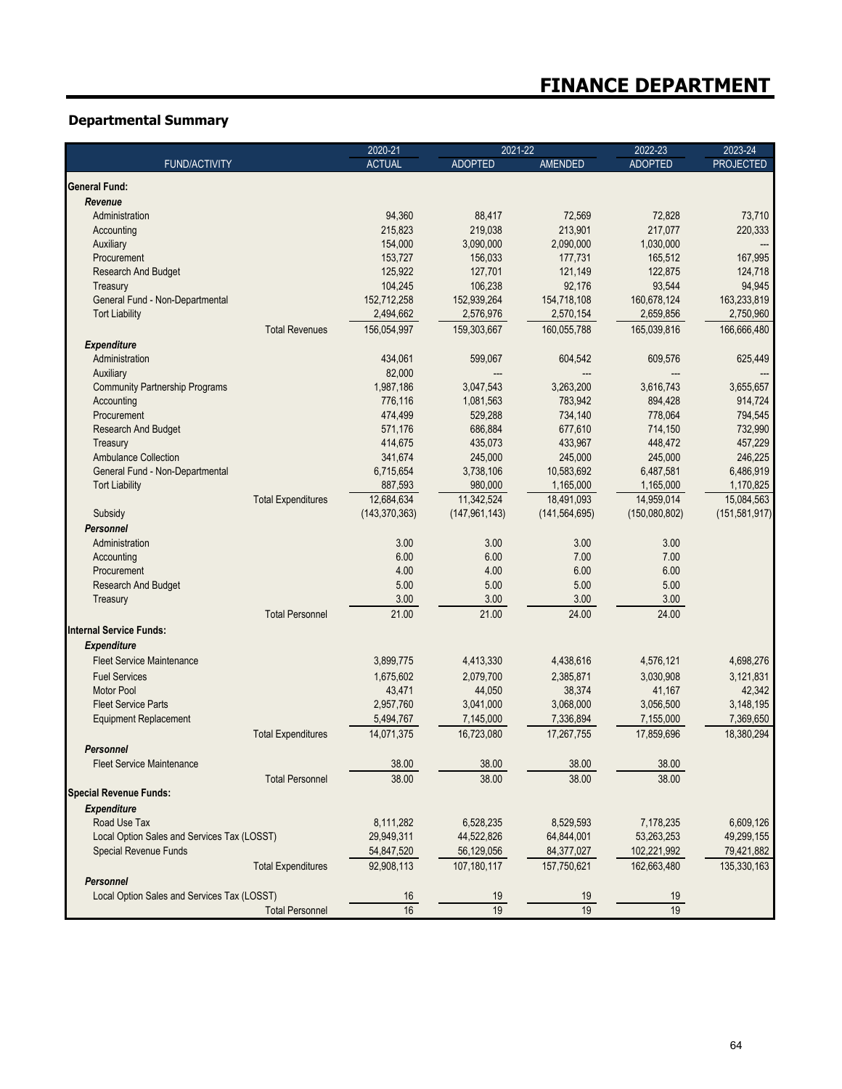## **Departmental Summary**

| <b>ACTUAL</b><br><b>ADOPTED</b><br><b>AMENDED</b><br><b>ADOPTED</b><br><b>FUND/ACTIVITY</b><br><b>PROJECTED</b><br><b>General Fund:</b><br>Revenue<br>88,417<br>Administration<br>94,360<br>72,569<br>72,828<br>73,710<br>215.823<br>219,038<br>213,901<br>217,077<br>220,333<br>Accounting<br>3,090,000<br>2,090,000<br>1,030,000<br>Auxiliary<br>154,000<br>---<br>153,727<br>165,512<br>Procurement<br>156,033<br>177,731<br>167,995<br>127,701<br>Research And Budget<br>125,922<br>121,149<br>122,875<br>124,718<br>106,238<br>92,176<br>93,544<br>94,945<br>104,245<br>Treasury<br>152,712,258<br>152,939,264<br>160,678,124<br>163,233,819<br>General Fund - Non-Departmental<br>154,718,108<br><b>Tort Liability</b><br>2,494,662<br>2,576,976<br>2,659,856<br>2,750,960<br>2,570,154<br><b>Total Revenues</b><br>165,039,816<br>166,666,480<br>156,054,997<br>159,303,667<br>160,055,788<br><b>Expenditure</b><br>Administration<br>434,061<br>599,067<br>604,542<br>609,576<br>625,449<br>82,000<br>Auxiliary<br><b>Community Partnership Programs</b><br>3,263,200<br>1,987,186<br>3,047,543<br>3,616,743<br>3,655,657<br>783,942<br>Accounting<br>776,116<br>1,081,563<br>894,428<br>914,724<br>529,288<br>734,140<br>778,064<br>Procurement<br>474,499<br>794,545<br>686,884<br>732,990<br>Research And Budget<br>571,176<br>677,610<br>714,150<br>414,675<br>435,073<br>433,967<br>448,472<br>457,229<br>Treasury<br><b>Ambulance Collection</b><br>341,674<br>245,000<br>245,000<br>245,000<br>246.225<br>General Fund - Non-Departmental<br>6,715,654<br>3,738,106<br>10,583,692<br>6,487,581<br>6,486,919<br>887,593<br>980,000<br>1,170,825<br>1,165,000<br>1,165,000<br><b>Tort Liability</b><br>11,342,524<br>15,084,563<br>12,684,634<br>18,491,093<br>14.959.014<br><b>Total Expenditures</b><br>(143, 370, 363)<br>(147, 961, 143)<br>(141, 564, 695)<br>(150,080,802)<br>(151, 581, 917)<br>Subsidy<br><b>Personnel</b><br>3.00<br>3.00<br>3.00<br>Administration<br>3.00<br>6.00<br>6.00<br>7.00<br>7.00<br>Accounting<br>Procurement<br>4.00<br>4.00<br>6.00<br>6.00<br>5.00<br>5.00<br>5.00<br>Research And Budget<br>5.00<br>3.00<br>3.00<br>3.00<br>3.00<br>Treasury<br><b>Total Personnel</b><br>21.00<br>21.00<br>24.00<br>24.00<br>Internal Service Funds:<br><b>Expenditure</b><br><b>Fleet Service Maintenance</b><br>3,899,775<br>4,413,330<br>4,438,616<br>4,576,121<br>4,698,276<br>2,079,700<br>3,121,831<br><b>Fuel Services</b><br>1,675,602<br>2,385,871<br>3.030.908<br>44,050<br>38,374<br>42,342<br><b>Motor Pool</b><br>43,471<br>41,167<br>2,957,760<br>3,041,000<br>3,068,000<br>3,056,500<br>3.148.195<br><b>Fleet Service Parts</b><br>7,336,894<br>7,369,650<br><b>Equipment Replacement</b><br>5,494,767<br>7,145,000<br>7,155,000<br><b>Total Expenditures</b><br>14,071,375<br>16,723,080<br>17,267,755<br>17,859,696<br>18,380,294<br><b>Personnel</b><br><b>Fleet Service Maintenance</b><br>38.00<br>38.00<br>38.00<br>38.00<br>38.00<br><b>Total Personnel</b><br>38.00<br>38.00<br>38.00<br><b>Special Revenue Funds:</b><br><b>Expenditure</b><br>Road Use Tax<br>8,111,282<br>6,528,235<br>8,529,593<br>6,609,126<br>7,178,235<br>29,949,311<br>44,522,826<br>Local Option Sales and Services Tax (LOSST)<br>64,844,001<br>53,263,253<br>49,299,155<br><b>Special Revenue Funds</b><br>54,847,520<br>56,129,056<br>84,377,027<br>102,221,992<br>79,421,882<br><b>Total Expenditures</b><br>92,908,113<br>107,180,117<br>157,750,621<br>162,663,480<br>135,330,163<br><b>Personnel</b><br>Local Option Sales and Services Tax (LOSST)<br>16<br><u>19</u><br>19<br>19 |                        | 2020-21 | 2021-22 |    | 2022-23 | 2023-24 |
|---------------------------------------------------------------------------------------------------------------------------------------------------------------------------------------------------------------------------------------------------------------------------------------------------------------------------------------------------------------------------------------------------------------------------------------------------------------------------------------------------------------------------------------------------------------------------------------------------------------------------------------------------------------------------------------------------------------------------------------------------------------------------------------------------------------------------------------------------------------------------------------------------------------------------------------------------------------------------------------------------------------------------------------------------------------------------------------------------------------------------------------------------------------------------------------------------------------------------------------------------------------------------------------------------------------------------------------------------------------------------------------------------------------------------------------------------------------------------------------------------------------------------------------------------------------------------------------------------------------------------------------------------------------------------------------------------------------------------------------------------------------------------------------------------------------------------------------------------------------------------------------------------------------------------------------------------------------------------------------------------------------------------------------------------------------------------------------------------------------------------------------------------------------------------------------------------------------------------------------------------------------------------------------------------------------------------------------------------------------------------------------------------------------------------------------------------------------------------------------------------------------------------------------------------------------------------------------------------------------------------------------------------------------------------------------------------------------------------------------------------------------------------------------------------------------------------------------------------------------------------------------------------------------------------------------------------------------------------------------------------------------------------------------------------------------------------------------------------------------------------------------------------------------------------------------------------------------------------------------------------------------------------------------------------------------------------------------------------------------------------------------------------------------------------------------------------------------------------------------------------------------------------------------------------------------------------------------------------------------------------------|------------------------|---------|---------|----|---------|---------|
|                                                                                                                                                                                                                                                                                                                                                                                                                                                                                                                                                                                                                                                                                                                                                                                                                                                                                                                                                                                                                                                                                                                                                                                                                                                                                                                                                                                                                                                                                                                                                                                                                                                                                                                                                                                                                                                                                                                                                                                                                                                                                                                                                                                                                                                                                                                                                                                                                                                                                                                                                                                                                                                                                                                                                                                                                                                                                                                                                                                                                                                                                                                                                                                                                                                                                                                                                                                                                                                                                                                                                                                                                                 |                        |         |         |    |         |         |
|                                                                                                                                                                                                                                                                                                                                                                                                                                                                                                                                                                                                                                                                                                                                                                                                                                                                                                                                                                                                                                                                                                                                                                                                                                                                                                                                                                                                                                                                                                                                                                                                                                                                                                                                                                                                                                                                                                                                                                                                                                                                                                                                                                                                                                                                                                                                                                                                                                                                                                                                                                                                                                                                                                                                                                                                                                                                                                                                                                                                                                                                                                                                                                                                                                                                                                                                                                                                                                                                                                                                                                                                                                 |                        |         |         |    |         |         |
|                                                                                                                                                                                                                                                                                                                                                                                                                                                                                                                                                                                                                                                                                                                                                                                                                                                                                                                                                                                                                                                                                                                                                                                                                                                                                                                                                                                                                                                                                                                                                                                                                                                                                                                                                                                                                                                                                                                                                                                                                                                                                                                                                                                                                                                                                                                                                                                                                                                                                                                                                                                                                                                                                                                                                                                                                                                                                                                                                                                                                                                                                                                                                                                                                                                                                                                                                                                                                                                                                                                                                                                                                                 |                        |         |         |    |         |         |
|                                                                                                                                                                                                                                                                                                                                                                                                                                                                                                                                                                                                                                                                                                                                                                                                                                                                                                                                                                                                                                                                                                                                                                                                                                                                                                                                                                                                                                                                                                                                                                                                                                                                                                                                                                                                                                                                                                                                                                                                                                                                                                                                                                                                                                                                                                                                                                                                                                                                                                                                                                                                                                                                                                                                                                                                                                                                                                                                                                                                                                                                                                                                                                                                                                                                                                                                                                                                                                                                                                                                                                                                                                 |                        |         |         |    |         |         |
|                                                                                                                                                                                                                                                                                                                                                                                                                                                                                                                                                                                                                                                                                                                                                                                                                                                                                                                                                                                                                                                                                                                                                                                                                                                                                                                                                                                                                                                                                                                                                                                                                                                                                                                                                                                                                                                                                                                                                                                                                                                                                                                                                                                                                                                                                                                                                                                                                                                                                                                                                                                                                                                                                                                                                                                                                                                                                                                                                                                                                                                                                                                                                                                                                                                                                                                                                                                                                                                                                                                                                                                                                                 |                        |         |         |    |         |         |
|                                                                                                                                                                                                                                                                                                                                                                                                                                                                                                                                                                                                                                                                                                                                                                                                                                                                                                                                                                                                                                                                                                                                                                                                                                                                                                                                                                                                                                                                                                                                                                                                                                                                                                                                                                                                                                                                                                                                                                                                                                                                                                                                                                                                                                                                                                                                                                                                                                                                                                                                                                                                                                                                                                                                                                                                                                                                                                                                                                                                                                                                                                                                                                                                                                                                                                                                                                                                                                                                                                                                                                                                                                 |                        |         |         |    |         |         |
|                                                                                                                                                                                                                                                                                                                                                                                                                                                                                                                                                                                                                                                                                                                                                                                                                                                                                                                                                                                                                                                                                                                                                                                                                                                                                                                                                                                                                                                                                                                                                                                                                                                                                                                                                                                                                                                                                                                                                                                                                                                                                                                                                                                                                                                                                                                                                                                                                                                                                                                                                                                                                                                                                                                                                                                                                                                                                                                                                                                                                                                                                                                                                                                                                                                                                                                                                                                                                                                                                                                                                                                                                                 |                        |         |         |    |         |         |
|                                                                                                                                                                                                                                                                                                                                                                                                                                                                                                                                                                                                                                                                                                                                                                                                                                                                                                                                                                                                                                                                                                                                                                                                                                                                                                                                                                                                                                                                                                                                                                                                                                                                                                                                                                                                                                                                                                                                                                                                                                                                                                                                                                                                                                                                                                                                                                                                                                                                                                                                                                                                                                                                                                                                                                                                                                                                                                                                                                                                                                                                                                                                                                                                                                                                                                                                                                                                                                                                                                                                                                                                                                 |                        |         |         |    |         |         |
|                                                                                                                                                                                                                                                                                                                                                                                                                                                                                                                                                                                                                                                                                                                                                                                                                                                                                                                                                                                                                                                                                                                                                                                                                                                                                                                                                                                                                                                                                                                                                                                                                                                                                                                                                                                                                                                                                                                                                                                                                                                                                                                                                                                                                                                                                                                                                                                                                                                                                                                                                                                                                                                                                                                                                                                                                                                                                                                                                                                                                                                                                                                                                                                                                                                                                                                                                                                                                                                                                                                                                                                                                                 |                        |         |         |    |         |         |
|                                                                                                                                                                                                                                                                                                                                                                                                                                                                                                                                                                                                                                                                                                                                                                                                                                                                                                                                                                                                                                                                                                                                                                                                                                                                                                                                                                                                                                                                                                                                                                                                                                                                                                                                                                                                                                                                                                                                                                                                                                                                                                                                                                                                                                                                                                                                                                                                                                                                                                                                                                                                                                                                                                                                                                                                                                                                                                                                                                                                                                                                                                                                                                                                                                                                                                                                                                                                                                                                                                                                                                                                                                 |                        |         |         |    |         |         |
|                                                                                                                                                                                                                                                                                                                                                                                                                                                                                                                                                                                                                                                                                                                                                                                                                                                                                                                                                                                                                                                                                                                                                                                                                                                                                                                                                                                                                                                                                                                                                                                                                                                                                                                                                                                                                                                                                                                                                                                                                                                                                                                                                                                                                                                                                                                                                                                                                                                                                                                                                                                                                                                                                                                                                                                                                                                                                                                                                                                                                                                                                                                                                                                                                                                                                                                                                                                                                                                                                                                                                                                                                                 |                        |         |         |    |         |         |
|                                                                                                                                                                                                                                                                                                                                                                                                                                                                                                                                                                                                                                                                                                                                                                                                                                                                                                                                                                                                                                                                                                                                                                                                                                                                                                                                                                                                                                                                                                                                                                                                                                                                                                                                                                                                                                                                                                                                                                                                                                                                                                                                                                                                                                                                                                                                                                                                                                                                                                                                                                                                                                                                                                                                                                                                                                                                                                                                                                                                                                                                                                                                                                                                                                                                                                                                                                                                                                                                                                                                                                                                                                 |                        |         |         |    |         |         |
|                                                                                                                                                                                                                                                                                                                                                                                                                                                                                                                                                                                                                                                                                                                                                                                                                                                                                                                                                                                                                                                                                                                                                                                                                                                                                                                                                                                                                                                                                                                                                                                                                                                                                                                                                                                                                                                                                                                                                                                                                                                                                                                                                                                                                                                                                                                                                                                                                                                                                                                                                                                                                                                                                                                                                                                                                                                                                                                                                                                                                                                                                                                                                                                                                                                                                                                                                                                                                                                                                                                                                                                                                                 |                        |         |         |    |         |         |
|                                                                                                                                                                                                                                                                                                                                                                                                                                                                                                                                                                                                                                                                                                                                                                                                                                                                                                                                                                                                                                                                                                                                                                                                                                                                                                                                                                                                                                                                                                                                                                                                                                                                                                                                                                                                                                                                                                                                                                                                                                                                                                                                                                                                                                                                                                                                                                                                                                                                                                                                                                                                                                                                                                                                                                                                                                                                                                                                                                                                                                                                                                                                                                                                                                                                                                                                                                                                                                                                                                                                                                                                                                 |                        |         |         |    |         |         |
|                                                                                                                                                                                                                                                                                                                                                                                                                                                                                                                                                                                                                                                                                                                                                                                                                                                                                                                                                                                                                                                                                                                                                                                                                                                                                                                                                                                                                                                                                                                                                                                                                                                                                                                                                                                                                                                                                                                                                                                                                                                                                                                                                                                                                                                                                                                                                                                                                                                                                                                                                                                                                                                                                                                                                                                                                                                                                                                                                                                                                                                                                                                                                                                                                                                                                                                                                                                                                                                                                                                                                                                                                                 |                        |         |         |    |         |         |
|                                                                                                                                                                                                                                                                                                                                                                                                                                                                                                                                                                                                                                                                                                                                                                                                                                                                                                                                                                                                                                                                                                                                                                                                                                                                                                                                                                                                                                                                                                                                                                                                                                                                                                                                                                                                                                                                                                                                                                                                                                                                                                                                                                                                                                                                                                                                                                                                                                                                                                                                                                                                                                                                                                                                                                                                                                                                                                                                                                                                                                                                                                                                                                                                                                                                                                                                                                                                                                                                                                                                                                                                                                 |                        |         |         |    |         |         |
|                                                                                                                                                                                                                                                                                                                                                                                                                                                                                                                                                                                                                                                                                                                                                                                                                                                                                                                                                                                                                                                                                                                                                                                                                                                                                                                                                                                                                                                                                                                                                                                                                                                                                                                                                                                                                                                                                                                                                                                                                                                                                                                                                                                                                                                                                                                                                                                                                                                                                                                                                                                                                                                                                                                                                                                                                                                                                                                                                                                                                                                                                                                                                                                                                                                                                                                                                                                                                                                                                                                                                                                                                                 |                        |         |         |    |         |         |
|                                                                                                                                                                                                                                                                                                                                                                                                                                                                                                                                                                                                                                                                                                                                                                                                                                                                                                                                                                                                                                                                                                                                                                                                                                                                                                                                                                                                                                                                                                                                                                                                                                                                                                                                                                                                                                                                                                                                                                                                                                                                                                                                                                                                                                                                                                                                                                                                                                                                                                                                                                                                                                                                                                                                                                                                                                                                                                                                                                                                                                                                                                                                                                                                                                                                                                                                                                                                                                                                                                                                                                                                                                 |                        |         |         |    |         |         |
|                                                                                                                                                                                                                                                                                                                                                                                                                                                                                                                                                                                                                                                                                                                                                                                                                                                                                                                                                                                                                                                                                                                                                                                                                                                                                                                                                                                                                                                                                                                                                                                                                                                                                                                                                                                                                                                                                                                                                                                                                                                                                                                                                                                                                                                                                                                                                                                                                                                                                                                                                                                                                                                                                                                                                                                                                                                                                                                                                                                                                                                                                                                                                                                                                                                                                                                                                                                                                                                                                                                                                                                                                                 |                        |         |         |    |         |         |
|                                                                                                                                                                                                                                                                                                                                                                                                                                                                                                                                                                                                                                                                                                                                                                                                                                                                                                                                                                                                                                                                                                                                                                                                                                                                                                                                                                                                                                                                                                                                                                                                                                                                                                                                                                                                                                                                                                                                                                                                                                                                                                                                                                                                                                                                                                                                                                                                                                                                                                                                                                                                                                                                                                                                                                                                                                                                                                                                                                                                                                                                                                                                                                                                                                                                                                                                                                                                                                                                                                                                                                                                                                 |                        |         |         |    |         |         |
|                                                                                                                                                                                                                                                                                                                                                                                                                                                                                                                                                                                                                                                                                                                                                                                                                                                                                                                                                                                                                                                                                                                                                                                                                                                                                                                                                                                                                                                                                                                                                                                                                                                                                                                                                                                                                                                                                                                                                                                                                                                                                                                                                                                                                                                                                                                                                                                                                                                                                                                                                                                                                                                                                                                                                                                                                                                                                                                                                                                                                                                                                                                                                                                                                                                                                                                                                                                                                                                                                                                                                                                                                                 |                        |         |         |    |         |         |
|                                                                                                                                                                                                                                                                                                                                                                                                                                                                                                                                                                                                                                                                                                                                                                                                                                                                                                                                                                                                                                                                                                                                                                                                                                                                                                                                                                                                                                                                                                                                                                                                                                                                                                                                                                                                                                                                                                                                                                                                                                                                                                                                                                                                                                                                                                                                                                                                                                                                                                                                                                                                                                                                                                                                                                                                                                                                                                                                                                                                                                                                                                                                                                                                                                                                                                                                                                                                                                                                                                                                                                                                                                 |                        |         |         |    |         |         |
|                                                                                                                                                                                                                                                                                                                                                                                                                                                                                                                                                                                                                                                                                                                                                                                                                                                                                                                                                                                                                                                                                                                                                                                                                                                                                                                                                                                                                                                                                                                                                                                                                                                                                                                                                                                                                                                                                                                                                                                                                                                                                                                                                                                                                                                                                                                                                                                                                                                                                                                                                                                                                                                                                                                                                                                                                                                                                                                                                                                                                                                                                                                                                                                                                                                                                                                                                                                                                                                                                                                                                                                                                                 |                        |         |         |    |         |         |
|                                                                                                                                                                                                                                                                                                                                                                                                                                                                                                                                                                                                                                                                                                                                                                                                                                                                                                                                                                                                                                                                                                                                                                                                                                                                                                                                                                                                                                                                                                                                                                                                                                                                                                                                                                                                                                                                                                                                                                                                                                                                                                                                                                                                                                                                                                                                                                                                                                                                                                                                                                                                                                                                                                                                                                                                                                                                                                                                                                                                                                                                                                                                                                                                                                                                                                                                                                                                                                                                                                                                                                                                                                 |                        |         |         |    |         |         |
|                                                                                                                                                                                                                                                                                                                                                                                                                                                                                                                                                                                                                                                                                                                                                                                                                                                                                                                                                                                                                                                                                                                                                                                                                                                                                                                                                                                                                                                                                                                                                                                                                                                                                                                                                                                                                                                                                                                                                                                                                                                                                                                                                                                                                                                                                                                                                                                                                                                                                                                                                                                                                                                                                                                                                                                                                                                                                                                                                                                                                                                                                                                                                                                                                                                                                                                                                                                                                                                                                                                                                                                                                                 |                        |         |         |    |         |         |
|                                                                                                                                                                                                                                                                                                                                                                                                                                                                                                                                                                                                                                                                                                                                                                                                                                                                                                                                                                                                                                                                                                                                                                                                                                                                                                                                                                                                                                                                                                                                                                                                                                                                                                                                                                                                                                                                                                                                                                                                                                                                                                                                                                                                                                                                                                                                                                                                                                                                                                                                                                                                                                                                                                                                                                                                                                                                                                                                                                                                                                                                                                                                                                                                                                                                                                                                                                                                                                                                                                                                                                                                                                 |                        |         |         |    |         |         |
|                                                                                                                                                                                                                                                                                                                                                                                                                                                                                                                                                                                                                                                                                                                                                                                                                                                                                                                                                                                                                                                                                                                                                                                                                                                                                                                                                                                                                                                                                                                                                                                                                                                                                                                                                                                                                                                                                                                                                                                                                                                                                                                                                                                                                                                                                                                                                                                                                                                                                                                                                                                                                                                                                                                                                                                                                                                                                                                                                                                                                                                                                                                                                                                                                                                                                                                                                                                                                                                                                                                                                                                                                                 |                        |         |         |    |         |         |
|                                                                                                                                                                                                                                                                                                                                                                                                                                                                                                                                                                                                                                                                                                                                                                                                                                                                                                                                                                                                                                                                                                                                                                                                                                                                                                                                                                                                                                                                                                                                                                                                                                                                                                                                                                                                                                                                                                                                                                                                                                                                                                                                                                                                                                                                                                                                                                                                                                                                                                                                                                                                                                                                                                                                                                                                                                                                                                                                                                                                                                                                                                                                                                                                                                                                                                                                                                                                                                                                                                                                                                                                                                 |                        |         |         |    |         |         |
|                                                                                                                                                                                                                                                                                                                                                                                                                                                                                                                                                                                                                                                                                                                                                                                                                                                                                                                                                                                                                                                                                                                                                                                                                                                                                                                                                                                                                                                                                                                                                                                                                                                                                                                                                                                                                                                                                                                                                                                                                                                                                                                                                                                                                                                                                                                                                                                                                                                                                                                                                                                                                                                                                                                                                                                                                                                                                                                                                                                                                                                                                                                                                                                                                                                                                                                                                                                                                                                                                                                                                                                                                                 |                        |         |         |    |         |         |
|                                                                                                                                                                                                                                                                                                                                                                                                                                                                                                                                                                                                                                                                                                                                                                                                                                                                                                                                                                                                                                                                                                                                                                                                                                                                                                                                                                                                                                                                                                                                                                                                                                                                                                                                                                                                                                                                                                                                                                                                                                                                                                                                                                                                                                                                                                                                                                                                                                                                                                                                                                                                                                                                                                                                                                                                                                                                                                                                                                                                                                                                                                                                                                                                                                                                                                                                                                                                                                                                                                                                                                                                                                 |                        |         |         |    |         |         |
|                                                                                                                                                                                                                                                                                                                                                                                                                                                                                                                                                                                                                                                                                                                                                                                                                                                                                                                                                                                                                                                                                                                                                                                                                                                                                                                                                                                                                                                                                                                                                                                                                                                                                                                                                                                                                                                                                                                                                                                                                                                                                                                                                                                                                                                                                                                                                                                                                                                                                                                                                                                                                                                                                                                                                                                                                                                                                                                                                                                                                                                                                                                                                                                                                                                                                                                                                                                                                                                                                                                                                                                                                                 |                        |         |         |    |         |         |
|                                                                                                                                                                                                                                                                                                                                                                                                                                                                                                                                                                                                                                                                                                                                                                                                                                                                                                                                                                                                                                                                                                                                                                                                                                                                                                                                                                                                                                                                                                                                                                                                                                                                                                                                                                                                                                                                                                                                                                                                                                                                                                                                                                                                                                                                                                                                                                                                                                                                                                                                                                                                                                                                                                                                                                                                                                                                                                                                                                                                                                                                                                                                                                                                                                                                                                                                                                                                                                                                                                                                                                                                                                 |                        |         |         |    |         |         |
|                                                                                                                                                                                                                                                                                                                                                                                                                                                                                                                                                                                                                                                                                                                                                                                                                                                                                                                                                                                                                                                                                                                                                                                                                                                                                                                                                                                                                                                                                                                                                                                                                                                                                                                                                                                                                                                                                                                                                                                                                                                                                                                                                                                                                                                                                                                                                                                                                                                                                                                                                                                                                                                                                                                                                                                                                                                                                                                                                                                                                                                                                                                                                                                                                                                                                                                                                                                                                                                                                                                                                                                                                                 |                        |         |         |    |         |         |
|                                                                                                                                                                                                                                                                                                                                                                                                                                                                                                                                                                                                                                                                                                                                                                                                                                                                                                                                                                                                                                                                                                                                                                                                                                                                                                                                                                                                                                                                                                                                                                                                                                                                                                                                                                                                                                                                                                                                                                                                                                                                                                                                                                                                                                                                                                                                                                                                                                                                                                                                                                                                                                                                                                                                                                                                                                                                                                                                                                                                                                                                                                                                                                                                                                                                                                                                                                                                                                                                                                                                                                                                                                 |                        |         |         |    |         |         |
|                                                                                                                                                                                                                                                                                                                                                                                                                                                                                                                                                                                                                                                                                                                                                                                                                                                                                                                                                                                                                                                                                                                                                                                                                                                                                                                                                                                                                                                                                                                                                                                                                                                                                                                                                                                                                                                                                                                                                                                                                                                                                                                                                                                                                                                                                                                                                                                                                                                                                                                                                                                                                                                                                                                                                                                                                                                                                                                                                                                                                                                                                                                                                                                                                                                                                                                                                                                                                                                                                                                                                                                                                                 |                        |         |         |    |         |         |
|                                                                                                                                                                                                                                                                                                                                                                                                                                                                                                                                                                                                                                                                                                                                                                                                                                                                                                                                                                                                                                                                                                                                                                                                                                                                                                                                                                                                                                                                                                                                                                                                                                                                                                                                                                                                                                                                                                                                                                                                                                                                                                                                                                                                                                                                                                                                                                                                                                                                                                                                                                                                                                                                                                                                                                                                                                                                                                                                                                                                                                                                                                                                                                                                                                                                                                                                                                                                                                                                                                                                                                                                                                 |                        |         |         |    |         |         |
|                                                                                                                                                                                                                                                                                                                                                                                                                                                                                                                                                                                                                                                                                                                                                                                                                                                                                                                                                                                                                                                                                                                                                                                                                                                                                                                                                                                                                                                                                                                                                                                                                                                                                                                                                                                                                                                                                                                                                                                                                                                                                                                                                                                                                                                                                                                                                                                                                                                                                                                                                                                                                                                                                                                                                                                                                                                                                                                                                                                                                                                                                                                                                                                                                                                                                                                                                                                                                                                                                                                                                                                                                                 |                        |         |         |    |         |         |
|                                                                                                                                                                                                                                                                                                                                                                                                                                                                                                                                                                                                                                                                                                                                                                                                                                                                                                                                                                                                                                                                                                                                                                                                                                                                                                                                                                                                                                                                                                                                                                                                                                                                                                                                                                                                                                                                                                                                                                                                                                                                                                                                                                                                                                                                                                                                                                                                                                                                                                                                                                                                                                                                                                                                                                                                                                                                                                                                                                                                                                                                                                                                                                                                                                                                                                                                                                                                                                                                                                                                                                                                                                 |                        |         |         |    |         |         |
|                                                                                                                                                                                                                                                                                                                                                                                                                                                                                                                                                                                                                                                                                                                                                                                                                                                                                                                                                                                                                                                                                                                                                                                                                                                                                                                                                                                                                                                                                                                                                                                                                                                                                                                                                                                                                                                                                                                                                                                                                                                                                                                                                                                                                                                                                                                                                                                                                                                                                                                                                                                                                                                                                                                                                                                                                                                                                                                                                                                                                                                                                                                                                                                                                                                                                                                                                                                                                                                                                                                                                                                                                                 |                        |         |         |    |         |         |
|                                                                                                                                                                                                                                                                                                                                                                                                                                                                                                                                                                                                                                                                                                                                                                                                                                                                                                                                                                                                                                                                                                                                                                                                                                                                                                                                                                                                                                                                                                                                                                                                                                                                                                                                                                                                                                                                                                                                                                                                                                                                                                                                                                                                                                                                                                                                                                                                                                                                                                                                                                                                                                                                                                                                                                                                                                                                                                                                                                                                                                                                                                                                                                                                                                                                                                                                                                                                                                                                                                                                                                                                                                 |                        |         |         |    |         |         |
|                                                                                                                                                                                                                                                                                                                                                                                                                                                                                                                                                                                                                                                                                                                                                                                                                                                                                                                                                                                                                                                                                                                                                                                                                                                                                                                                                                                                                                                                                                                                                                                                                                                                                                                                                                                                                                                                                                                                                                                                                                                                                                                                                                                                                                                                                                                                                                                                                                                                                                                                                                                                                                                                                                                                                                                                                                                                                                                                                                                                                                                                                                                                                                                                                                                                                                                                                                                                                                                                                                                                                                                                                                 |                        |         |         |    |         |         |
|                                                                                                                                                                                                                                                                                                                                                                                                                                                                                                                                                                                                                                                                                                                                                                                                                                                                                                                                                                                                                                                                                                                                                                                                                                                                                                                                                                                                                                                                                                                                                                                                                                                                                                                                                                                                                                                                                                                                                                                                                                                                                                                                                                                                                                                                                                                                                                                                                                                                                                                                                                                                                                                                                                                                                                                                                                                                                                                                                                                                                                                                                                                                                                                                                                                                                                                                                                                                                                                                                                                                                                                                                                 |                        |         |         |    |         |         |
|                                                                                                                                                                                                                                                                                                                                                                                                                                                                                                                                                                                                                                                                                                                                                                                                                                                                                                                                                                                                                                                                                                                                                                                                                                                                                                                                                                                                                                                                                                                                                                                                                                                                                                                                                                                                                                                                                                                                                                                                                                                                                                                                                                                                                                                                                                                                                                                                                                                                                                                                                                                                                                                                                                                                                                                                                                                                                                                                                                                                                                                                                                                                                                                                                                                                                                                                                                                                                                                                                                                                                                                                                                 |                        |         |         |    |         |         |
|                                                                                                                                                                                                                                                                                                                                                                                                                                                                                                                                                                                                                                                                                                                                                                                                                                                                                                                                                                                                                                                                                                                                                                                                                                                                                                                                                                                                                                                                                                                                                                                                                                                                                                                                                                                                                                                                                                                                                                                                                                                                                                                                                                                                                                                                                                                                                                                                                                                                                                                                                                                                                                                                                                                                                                                                                                                                                                                                                                                                                                                                                                                                                                                                                                                                                                                                                                                                                                                                                                                                                                                                                                 |                        |         |         |    |         |         |
|                                                                                                                                                                                                                                                                                                                                                                                                                                                                                                                                                                                                                                                                                                                                                                                                                                                                                                                                                                                                                                                                                                                                                                                                                                                                                                                                                                                                                                                                                                                                                                                                                                                                                                                                                                                                                                                                                                                                                                                                                                                                                                                                                                                                                                                                                                                                                                                                                                                                                                                                                                                                                                                                                                                                                                                                                                                                                                                                                                                                                                                                                                                                                                                                                                                                                                                                                                                                                                                                                                                                                                                                                                 |                        |         |         |    |         |         |
|                                                                                                                                                                                                                                                                                                                                                                                                                                                                                                                                                                                                                                                                                                                                                                                                                                                                                                                                                                                                                                                                                                                                                                                                                                                                                                                                                                                                                                                                                                                                                                                                                                                                                                                                                                                                                                                                                                                                                                                                                                                                                                                                                                                                                                                                                                                                                                                                                                                                                                                                                                                                                                                                                                                                                                                                                                                                                                                                                                                                                                                                                                                                                                                                                                                                                                                                                                                                                                                                                                                                                                                                                                 |                        |         |         |    |         |         |
|                                                                                                                                                                                                                                                                                                                                                                                                                                                                                                                                                                                                                                                                                                                                                                                                                                                                                                                                                                                                                                                                                                                                                                                                                                                                                                                                                                                                                                                                                                                                                                                                                                                                                                                                                                                                                                                                                                                                                                                                                                                                                                                                                                                                                                                                                                                                                                                                                                                                                                                                                                                                                                                                                                                                                                                                                                                                                                                                                                                                                                                                                                                                                                                                                                                                                                                                                                                                                                                                                                                                                                                                                                 |                        |         |         |    |         |         |
|                                                                                                                                                                                                                                                                                                                                                                                                                                                                                                                                                                                                                                                                                                                                                                                                                                                                                                                                                                                                                                                                                                                                                                                                                                                                                                                                                                                                                                                                                                                                                                                                                                                                                                                                                                                                                                                                                                                                                                                                                                                                                                                                                                                                                                                                                                                                                                                                                                                                                                                                                                                                                                                                                                                                                                                                                                                                                                                                                                                                                                                                                                                                                                                                                                                                                                                                                                                                                                                                                                                                                                                                                                 |                        |         |         |    |         |         |
|                                                                                                                                                                                                                                                                                                                                                                                                                                                                                                                                                                                                                                                                                                                                                                                                                                                                                                                                                                                                                                                                                                                                                                                                                                                                                                                                                                                                                                                                                                                                                                                                                                                                                                                                                                                                                                                                                                                                                                                                                                                                                                                                                                                                                                                                                                                                                                                                                                                                                                                                                                                                                                                                                                                                                                                                                                                                                                                                                                                                                                                                                                                                                                                                                                                                                                                                                                                                                                                                                                                                                                                                                                 |                        |         |         |    |         |         |
|                                                                                                                                                                                                                                                                                                                                                                                                                                                                                                                                                                                                                                                                                                                                                                                                                                                                                                                                                                                                                                                                                                                                                                                                                                                                                                                                                                                                                                                                                                                                                                                                                                                                                                                                                                                                                                                                                                                                                                                                                                                                                                                                                                                                                                                                                                                                                                                                                                                                                                                                                                                                                                                                                                                                                                                                                                                                                                                                                                                                                                                                                                                                                                                                                                                                                                                                                                                                                                                                                                                                                                                                                                 |                        |         |         |    |         |         |
|                                                                                                                                                                                                                                                                                                                                                                                                                                                                                                                                                                                                                                                                                                                                                                                                                                                                                                                                                                                                                                                                                                                                                                                                                                                                                                                                                                                                                                                                                                                                                                                                                                                                                                                                                                                                                                                                                                                                                                                                                                                                                                                                                                                                                                                                                                                                                                                                                                                                                                                                                                                                                                                                                                                                                                                                                                                                                                                                                                                                                                                                                                                                                                                                                                                                                                                                                                                                                                                                                                                                                                                                                                 |                        |         |         |    |         |         |
|                                                                                                                                                                                                                                                                                                                                                                                                                                                                                                                                                                                                                                                                                                                                                                                                                                                                                                                                                                                                                                                                                                                                                                                                                                                                                                                                                                                                                                                                                                                                                                                                                                                                                                                                                                                                                                                                                                                                                                                                                                                                                                                                                                                                                                                                                                                                                                                                                                                                                                                                                                                                                                                                                                                                                                                                                                                                                                                                                                                                                                                                                                                                                                                                                                                                                                                                                                                                                                                                                                                                                                                                                                 | <b>Total Personnel</b> | 16      | 19      | 19 | 19      |         |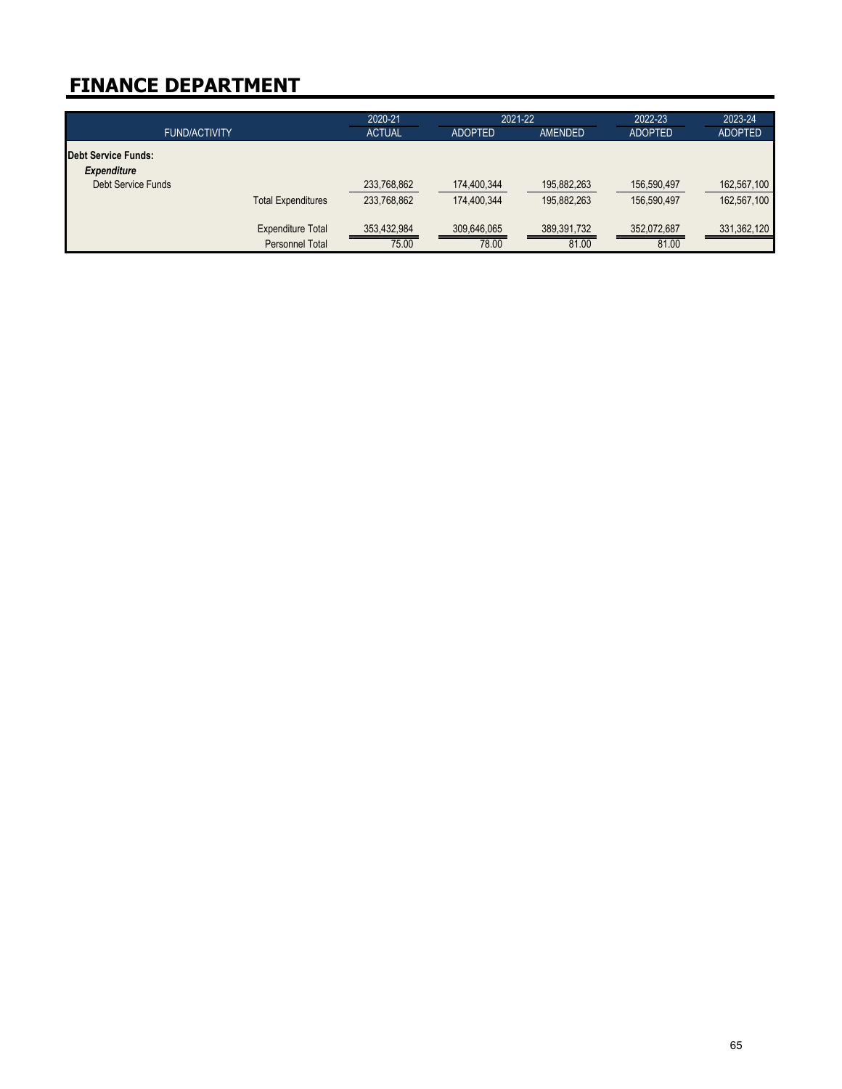| <b>FUND/ACTIVITY</b>                      |                           | 2020-21<br><b>ACTUAL</b> | 2021-22<br><b>ADOPTED</b> | <b>AMENDED</b> | 2022-23<br><b>ADOPTED</b> | 2023-24<br><b>ADOPTED</b> |
|-------------------------------------------|---------------------------|--------------------------|---------------------------|----------------|---------------------------|---------------------------|
| Debt Service Funds:<br><b>Expenditure</b> |                           |                          |                           |                |                           |                           |
| <b>Debt Service Funds</b>                 |                           | 233,768,862              | 174,400,344               | 195,882,263    | 156,590,497               | 162,567,100               |
|                                           | <b>Total Expenditures</b> | 233,768,862              | 174,400.344               | 195,882,263    | 156,590,497               | 162,567,100               |
|                                           | <b>Expenditure Total</b>  | 353,432,984              | 309,646,065               | 389,391,732    | 352,072,687               | 331,362,120               |
|                                           | Personnel Total           | 75.00                    | 78.00                     | 81.00          | 81.00                     |                           |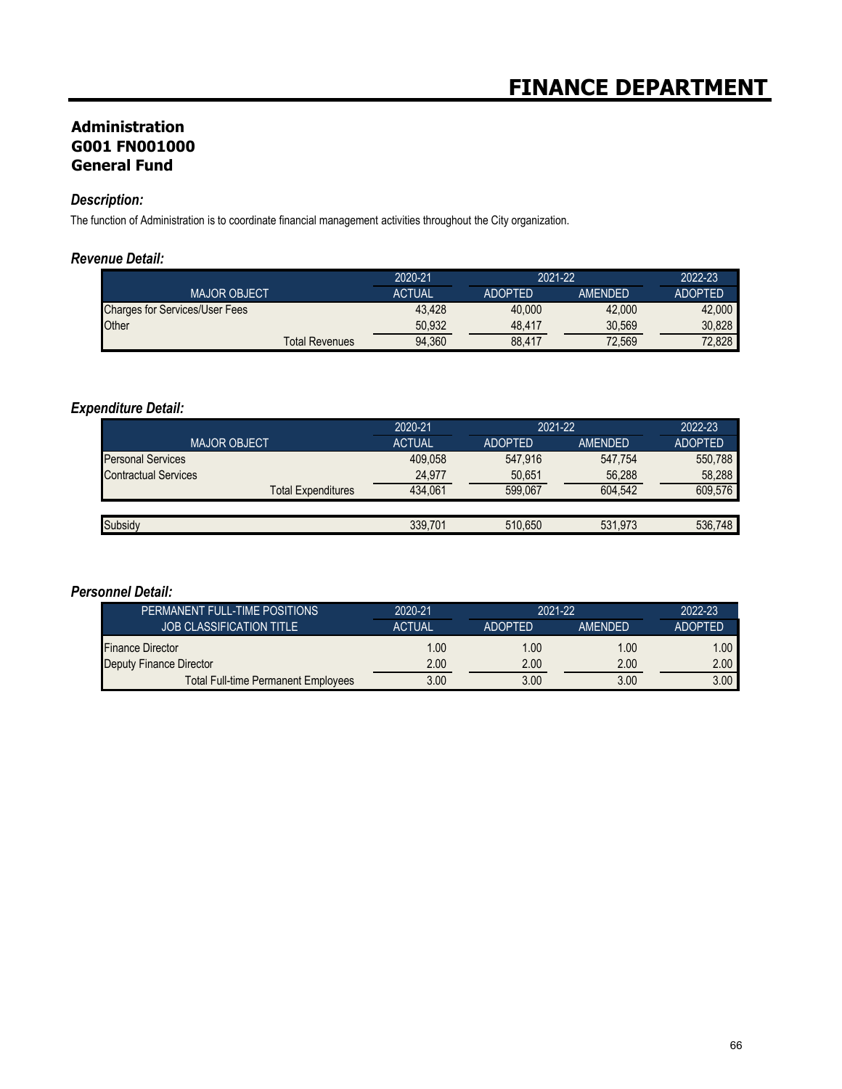## **Administration G001 FN001000 General Fund**

# *Description:*

The function of Administration is to coordinate financial management activities throughout the City organization.

### *Revenue Detail:*

|                                       | 2020-21       | 2021-22        |                | 2022-23        |
|---------------------------------------|---------------|----------------|----------------|----------------|
| <b>MAJOR OBJECT</b>                   | <b>ACTUAL</b> | <b>ADOPTED</b> | <b>AMENDED</b> | <b>ADOPTED</b> |
| <b>Charges for Services/User Fees</b> | 43.428        | 40.000         | 42.000         | 42,000         |
| Other                                 | 50.932        | 48.417         | 30.569         | 30.828         |
| <b>Total Revenues</b>                 | 94.360        | 88.417         | 72.569         | 72.828         |

## *Expenditure Detail:*

|                             | 2020-21       | 2021-22        |                | 2022-23        |
|-----------------------------|---------------|----------------|----------------|----------------|
| <b>MAJOR OBJECT</b>         | <b>ACTUAL</b> | <b>ADOPTED</b> | <b>AMENDED</b> | <b>ADOPTED</b> |
| <b>Personal Services</b>    | 409.058       | 547.916        | 547,754        | 550.788        |
| <b>Contractual Services</b> | 24.977        | 50,651         | 56,288         | 58.288         |
| <b>Total Expenditures</b>   | 434.061       | 599.067        | 604.542        | 609.576        |
|                             |               |                |                |                |
| Subsidy                     | 339.701       | 510.650        | 531.973        | 536.748        |

### *Personnel Detail:*

| PERMANENT FULL-TIME POSITIONS              | 2020-21       | 2021-22        |                | 2022-23           |
|--------------------------------------------|---------------|----------------|----------------|-------------------|
| <b>JOB CLASSIFICATION TITLE</b>            | <b>ACTUAL</b> | <b>ADOPTED</b> | <b>AMENDED</b> | <b>ADOPTED</b>    |
| <b>Finance Director</b>                    | 1.00          | 1.00           | 1.00           | 1.00              |
| Deputy Finance Director                    | 2.00          | 2.00           | 2.00           | 2.00 <sub>1</sub> |
| <b>Total Full-time Permanent Employees</b> | 3.00          | 3.00           | 3.00           | 3.00              |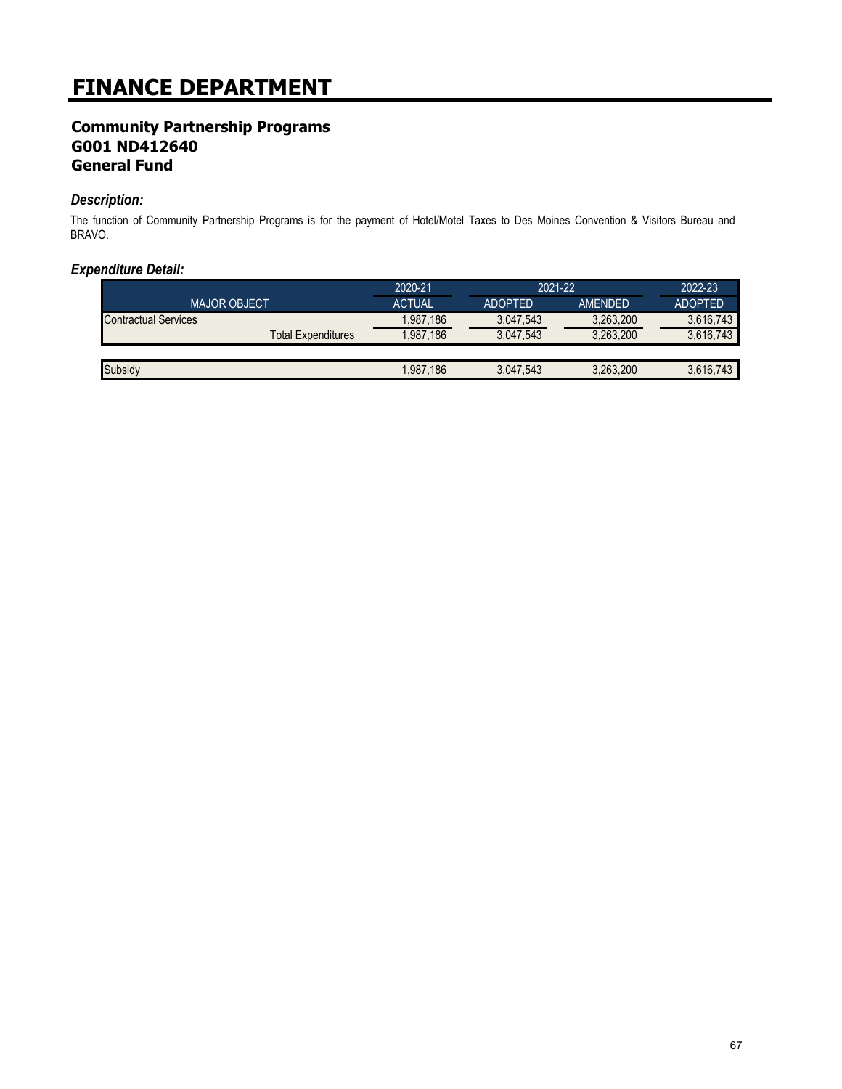## **Community Partnership Programs G001 ND412640 General Fund**

### *Description:*

The function of Community Partnership Programs is for the payment of Hotel/Motel Taxes to Des Moines Convention & Visitors Bureau and BRAVO.

|                             | 2020-21       | 2021-22        |                | 2022-23        |
|-----------------------------|---------------|----------------|----------------|----------------|
| <b>MAJOR OBJECT</b>         | <b>ACTUAL</b> | <b>ADOPTED</b> | <b>AMENDED</b> | <b>ADOPTED</b> |
| <b>Contractual Services</b> | 1,987,186     | 3.047.543      | 3,263,200      | 3,616,743      |
| <b>Total Expenditures</b>   | 1.987.186     | 3,047,543      | 3,263,200      | 3,616,743      |
|                             |               |                |                |                |
| Subsidy                     | 1,987,186     | 3,047,543      | 3.263.200      | 3.616.743      |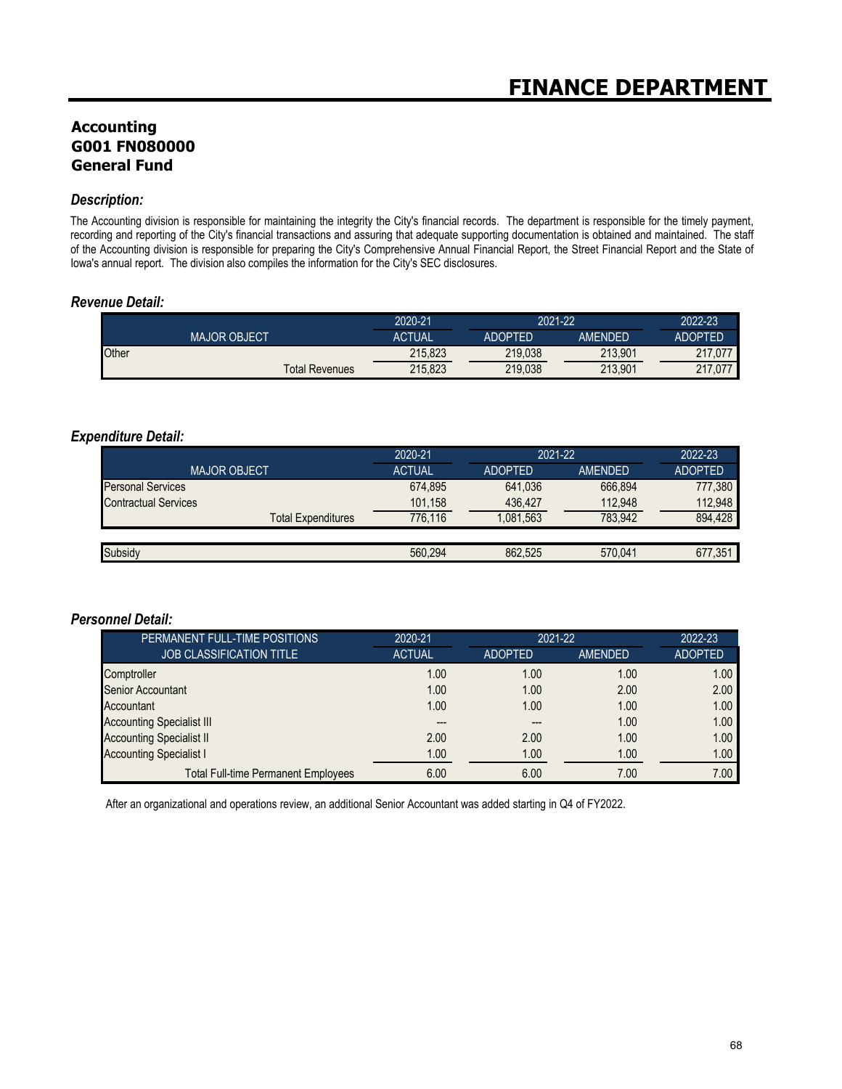## **Accounting G001 FN080000 General Fund**

#### *Description:*

The Accounting division is responsible for maintaining the integrity the City's financial records. The department is responsible for the timely payment, recording and reporting of the City's financial transactions and assuring that adequate supporting documentation is obtained and maintained. The staff of the Accounting division is responsible for preparing the City's Comprehensive Annual Financial Report, the Street Financial Report and the State of Iowa's annual report. The division also compiles the information for the City's SEC disclosures.

#### *Revenue Detail:*

|                       | 2020-21 | 2021-22        |                | 2022-23        |
|-----------------------|---------|----------------|----------------|----------------|
| <b>MAJOR OBJECT</b>   | ACTUAL  | <b>ADOPTED</b> | <b>AMENDED</b> | <b>ADOPTED</b> |
| Other                 | 215,823 | 219.038        | 213.901        | 217.077        |
| <b>Total Revenues</b> | 215,823 | 219,038        | 213.901        | 217,077        |

#### *Expenditure Detail:*

|                             | 2020-21       | 2021-22        |         | 2022-23        |
|-----------------------------|---------------|----------------|---------|----------------|
| <b>MAJOR OBJECT</b>         | <b>ACTUAL</b> | <b>ADOPTED</b> | AMENDED | <b>ADOPTED</b> |
| <b>Personal Services</b>    | 674,895       | 641.036        | 666.894 | 777,380        |
| <b>Contractual Services</b> | 101.158       | 436.427        | 112.948 | 112,948        |
| <b>Total Expenditures</b>   | 776.116       | 1,081,563      | 783.942 | 894,428        |
|                             |               |                |         |                |
| Subsidy                     | 560.294       | 862.525        | 570.041 | 677.351        |

## *Personnel Detail:*

| PERMANENT FULL-TIME POSITIONS              | 2020-21       | 2021-22        |         | 2022-23        |
|--------------------------------------------|---------------|----------------|---------|----------------|
| <b>JOB CLASSIFICATION TITLE</b>            | <b>ACTUAL</b> | <b>ADOPTED</b> | AMENDED | <b>ADOPTED</b> |
| Comptroller                                | 1.00          | 1.00           | 1.00    | 1.00           |
| <b>Senior Accountant</b>                   | 1.00          | 1.00           | 2.00    | 2.00           |
| Accountant                                 | 1.00          | 1.00           | 1.00    | 1.00           |
| <b>Accounting Specialist III</b>           |               | ---            | 1.00    | 1.00           |
| <b>Accounting Specialist II</b>            | 2.00          | 2.00           | 1.00    | 1.00           |
| <b>Accounting Specialist I</b>             | 1.00          | 1.00           | 1.00    | 1.00           |
| <b>Total Full-time Permanent Employees</b> | 6.00          | 6.00           | 7.00    | 7.00           |

After an organizational and operations review, an additional Senior Accountant was added starting in Q4 of FY2022.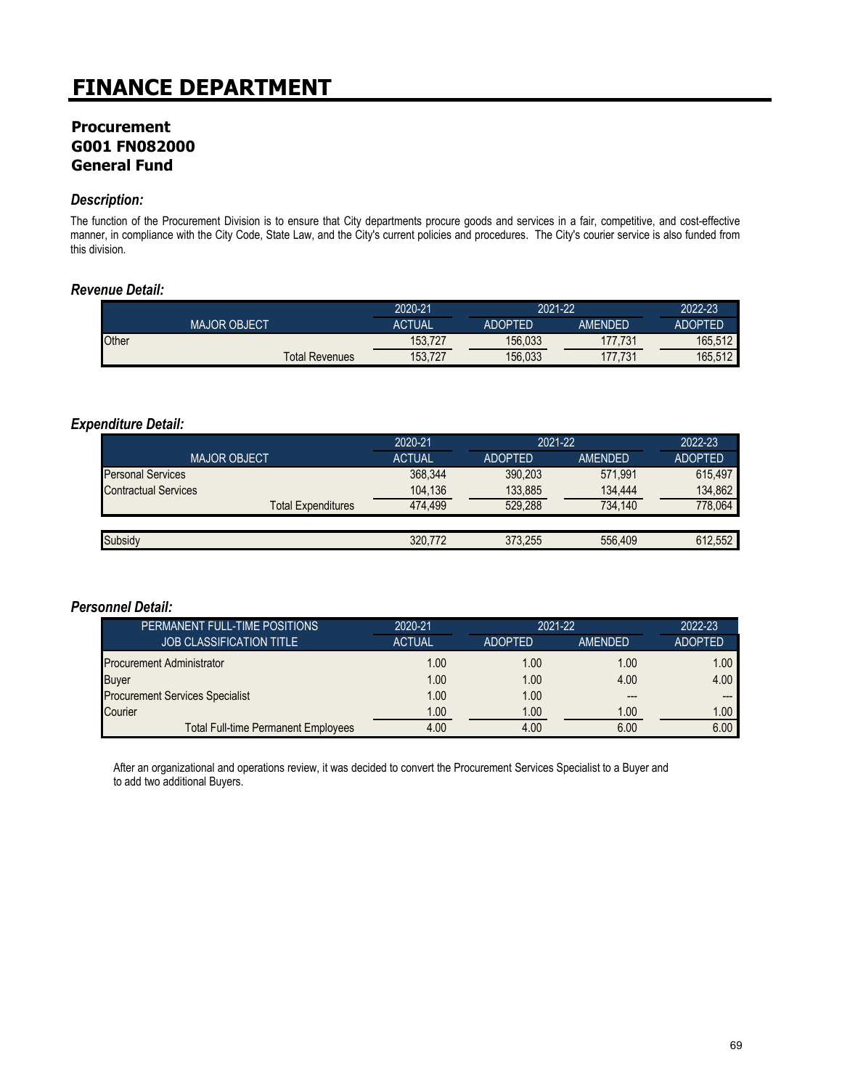## **Procurement G001 FN082000 General Fund**

### *Description:*

The function of the Procurement Division is to ensure that City departments procure goods and services in a fair, competitive, and cost-effective manner, in compliance with the City Code, State Law, and the City's current policies and procedures. The City's courier service is also funded from this division.

### *Revenue Detail:*

|       |                       | 2020-21       | 2021-22        |         | 2022-23 |
|-------|-----------------------|---------------|----------------|---------|---------|
|       | <b>MAJOR OBJECT</b>   | <b>ACTUAL</b> | <b>ADOPTED</b> | AMENDED | ADOPTED |
| Other |                       | 153.727       | 156,033        | 177.731 | 165.512 |
|       | <b>Total Revenues</b> | 153,727       | 156,033        | 177.731 | 165,512 |

#### *Expenditure Detail:*

|                             | 2020-21       | 2021-22        |                | 2022-23        |
|-----------------------------|---------------|----------------|----------------|----------------|
| <b>MAJOR OBJECT</b>         | <b>ACTUAL</b> | <b>ADOPTED</b> | <b>AMENDED</b> | <b>ADOPTED</b> |
| <b>Personal Services</b>    | 368,344       | 390,203        | 571.991        | 615,497        |
| <b>Contractual Services</b> | 104.136       | 133,885        | 134.444        | 134,862        |
| <b>Total Expenditures</b>   | 474.499       | 529.288        | 734,140        | 778,064        |
|                             |               |                |                |                |
| Subsidy                     | 320.772       | 373,255        | 556,409        | 612,552        |

#### *Personnel Detail:*

| PERMANENT FULL-TIME POSITIONS              | 2020-21       | $2021 - 22$    |                | 2022-23           |
|--------------------------------------------|---------------|----------------|----------------|-------------------|
| <b>JOB CLASSIFICATION TITLE</b>            | <b>ACTUAL</b> | <b>ADOPTED</b> | <b>AMENDED</b> | <b>ADOPTED</b>    |
| <b>Procurement Administrator</b>           | 1.00          | 1.00           | 1.00           | 1.00 <sub>1</sub> |
| <b>Buyer</b>                               | 1.00          | 1.00           | 4.00           | 4.00              |
| <b>Procurement Services Specialist</b>     | 1.00          | 1.00           | $---$          | ---               |
| Courier                                    | 1.00          | 1.00           | 1.00           | 1.00              |
| <b>Total Full-time Permanent Employees</b> | 4.00          | 4.00           | 6.00           | 6.00              |

After an organizational and operations review, it was decided to convert the Procurement Services Specialist to a Buyer and to add two additional Buyers.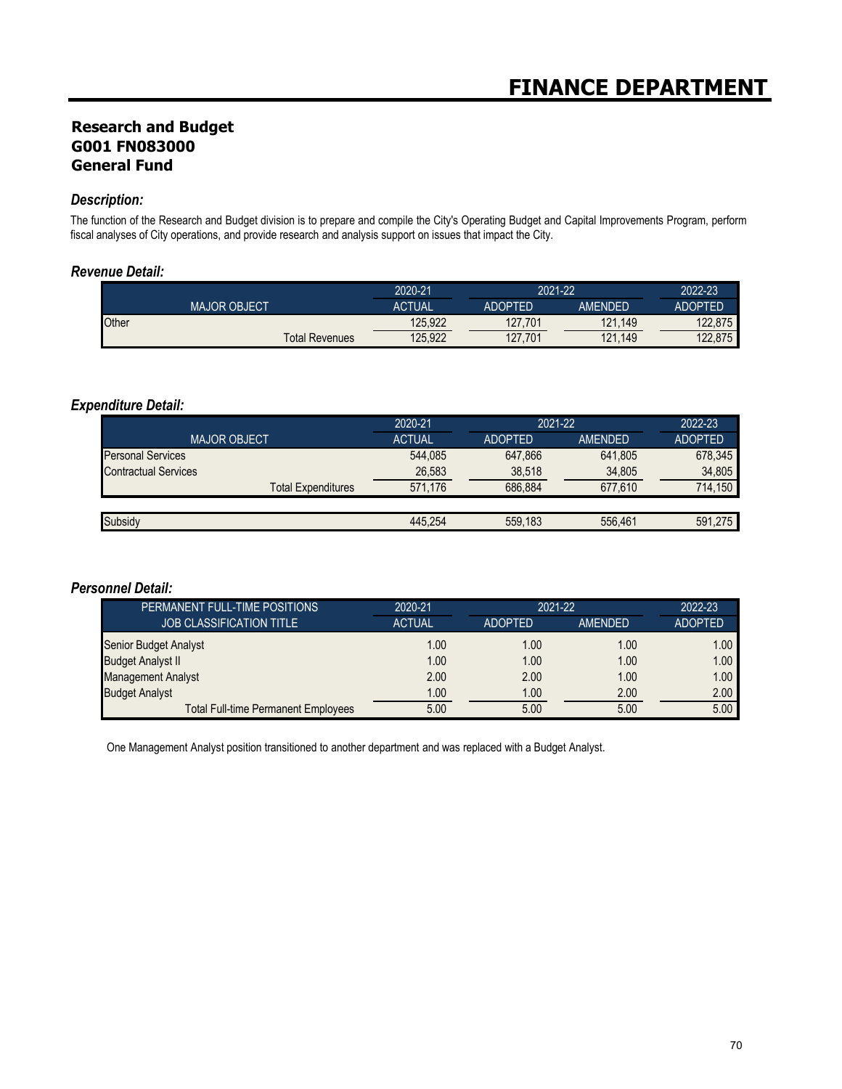## **Research and Budget G001 FN083000 General Fund**

### *Description:*

The function of the Research and Budget division is to prepare and compile the City's Operating Budget and Capital Improvements Program, perform fiscal analyses of City operations, and provide research and analysis support on issues that impact the City.

### *Revenue Detail:*

|       |                       | 2020-21 |                | 2021-22        |                |
|-------|-----------------------|---------|----------------|----------------|----------------|
|       | <b>MAJOR OBJECT</b>   | ACTUAL  | <b>ADOPTED</b> | <b>AMENDED</b> | <b>ADOPTED</b> |
| Other |                       | 125,922 | 127,701        | 121<br>.149    | 122.875        |
|       | <b>Total Revenues</b> | 125.922 | 127,701        | 121<br>.149    | 122,875        |

## *Expenditure Detail:*

|                             | 2020-21       | 2021-22        |         | 2022-23        |  |
|-----------------------------|---------------|----------------|---------|----------------|--|
| <b>MAJOR OBJECT</b>         | <b>ACTUAL</b> | <b>ADOPTED</b> | AMENDED | <b>ADOPTED</b> |  |
| <b>Personal Services</b>    | 544,085       | 647.866        | 641,805 | 678,345        |  |
| <b>Contractual Services</b> | 26,583        | 38,518         | 34,805  | 34,805         |  |
| <b>Total Expenditures</b>   | 571.176       | 686.884        | 677.610 | 714.150        |  |
|                             |               |                |         |                |  |
| Subsidy                     | 445.254       | 559.183        | 556.461 | 591.275        |  |

### *Personnel Detail:*

| PERMANENT FULL-TIME POSITIONS              | 2020-21       | 2021-22        |         | 2022-23           |
|--------------------------------------------|---------------|----------------|---------|-------------------|
| <b>JOB CLASSIFICATION TITLE</b>            | <b>ACTUAL</b> | <b>ADOPTED</b> | AMENDED | <b>ADOPTED</b>    |
| Senior Budget Analyst                      | 1.00          | 1.00           | 1.00    | 1.00 <sub>1</sub> |
| <b>Budget Analyst II</b>                   | 1.00          | 1.00           | 1.00    | 1.00 <sub>1</sub> |
| <b>Management Analyst</b>                  | 2.00          | 2.00           | 1.00    | 1.00              |
| <b>Budget Analyst</b>                      | 1.00          | 1.00           | 2.00    | 2.00              |
| <b>Total Full-time Permanent Employees</b> | 5.00          | 5.00           | 5.00    | 5.00              |

One Management Analyst position transitioned to another department and was replaced with a Budget Analyst.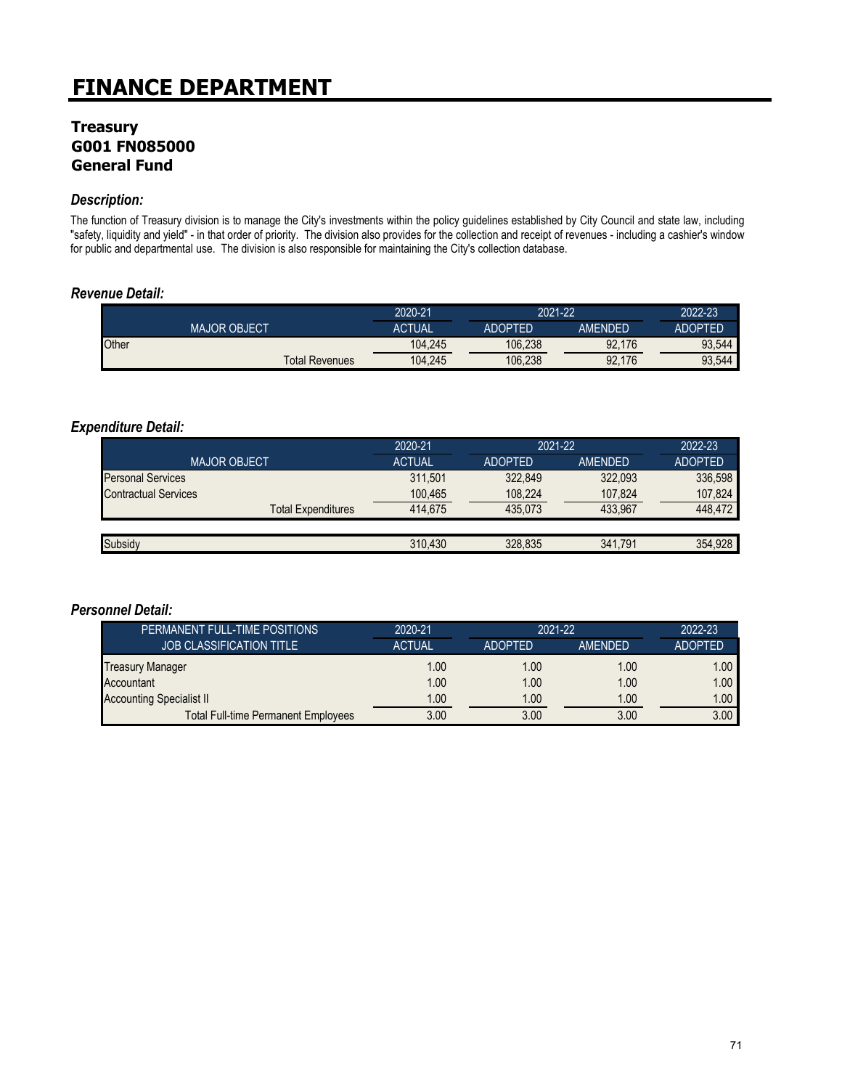## **Treasury G001 FN085000 General Fund**

### *Description:*

The function of Treasury division is to manage the City's investments within the policy guidelines established by City Council and state law, including "safety, liquidity and yield" - in that order of priority. The division also provides for the collection and receipt of revenues - including a cashier's window for public and departmental use. The division is also responsible for maintaining the City's collection database.

### *Revenue Detail:*

|       |                       | 2020-21 | 2021-22        |         | 2022-23        |
|-------|-----------------------|---------|----------------|---------|----------------|
|       | <b>MAJOR OBJECT</b>   | ACTUAL  | <b>ADOPTED</b> | AMENDED | <b>ADOPTED</b> |
| Other |                       | 104,245 | 106.238        | 92,176  | 93,544         |
|       | <b>Total Revenues</b> | 104,245 | 106.238        | 92,176  | 93,544         |

#### *Expenditure Detail:*

|                             | 2020-21       | 2021-22        |                | 2022-23        |
|-----------------------------|---------------|----------------|----------------|----------------|
| <b>MAJOR OBJECT</b>         | <b>ACTUAL</b> | <b>ADOPTED</b> | <b>AMENDED</b> | <b>ADOPTED</b> |
| <b>Personal Services</b>    | 311.501       | 322.849        | 322.093        | 336,598        |
| <b>Contractual Services</b> | 100,465       | 108,224        | 107,824        | 107,824        |
| <b>Total Expenditures</b>   | 414.675       | 435.073        | 433.967        | 448.472        |
|                             |               |                |                |                |
| <b>Subsidy</b>              | 310.430       | 328.835        | 341.791        | 354,928        |
|                             |               |                |                |                |

#### *Personnel Detail:*

| PERMANENT FULL-TIME POSITIONS              | 2020-21       | 2021-22        |                | $2022 - 23$    |
|--------------------------------------------|---------------|----------------|----------------|----------------|
| <b>JOB CLASSIFICATION TITLE</b>            | <b>ACTUAL</b> | <b>ADOPTED</b> | <b>AMENDED</b> | <b>ADOPTED</b> |
| <b>Treasury Manager</b>                    | 1.00          | 1.00           | 1.00           | 1.00           |
| Accountant                                 | 1.00          | 1.00           | 1.00           | 1.00           |
| <b>Accounting Specialist II</b>            | 1.00          | 1.00           | 1.00           | 1.00           |
| <b>Total Full-time Permanent Employees</b> | 3.00          | 3.00           | 3.00           | 3.00           |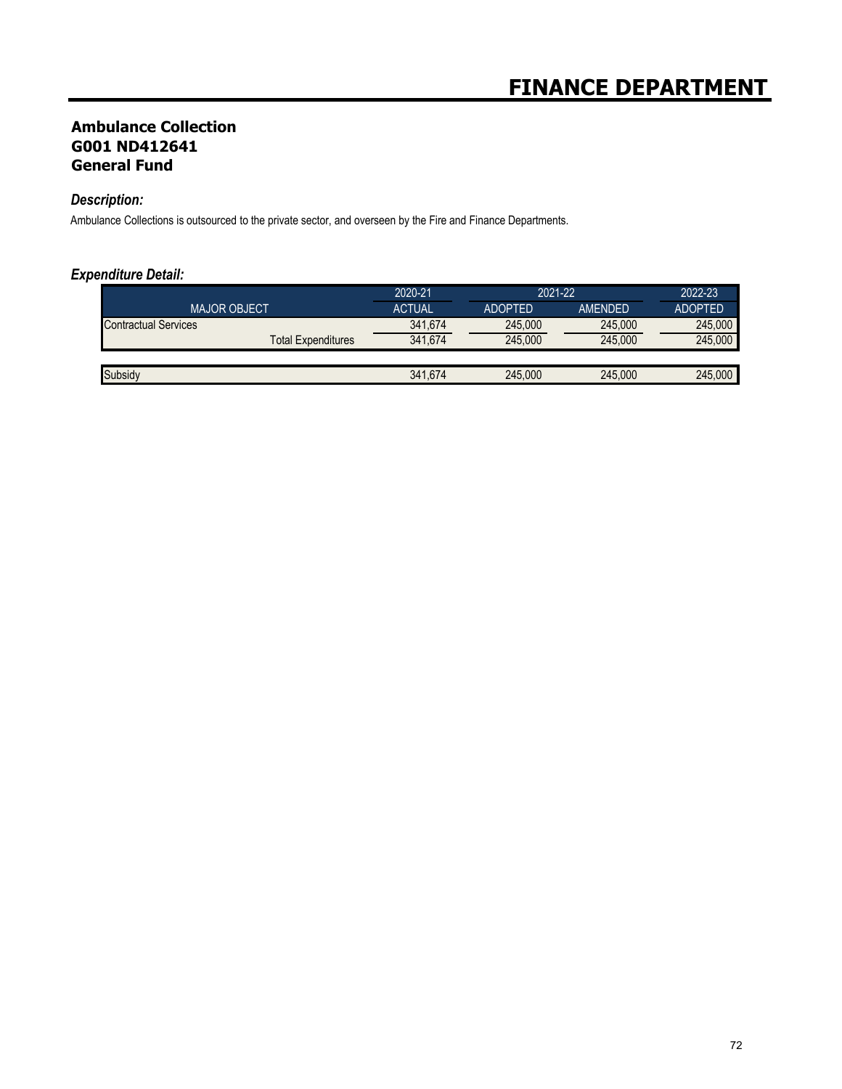## **Ambulance Collection G001 ND412641 General Fund**

## *Description:*

Ambulance Collections is outsourced to the private sector, and overseen by the Fire and Finance Departments.

|                             |                    | 2020-21       | 2021-22        |                | 2022-23        |
|-----------------------------|--------------------|---------------|----------------|----------------|----------------|
| <b>MAJOR OBJECT</b>         |                    | <b>ACTUAL</b> | <b>ADOPTED</b> | <b>AMFNDFD</b> | <b>ADOPTED</b> |
| <b>Contractual Services</b> |                    | 341,674       | 245,000        | 245,000        | 245.000        |
|                             | Total Expenditures | 341.674       | 245,000        | 245,000        | 245.000        |
|                             |                    |               |                |                |                |
| Subsidy                     |                    | 341.674       | 245,000        | 245,000        | 245.000        |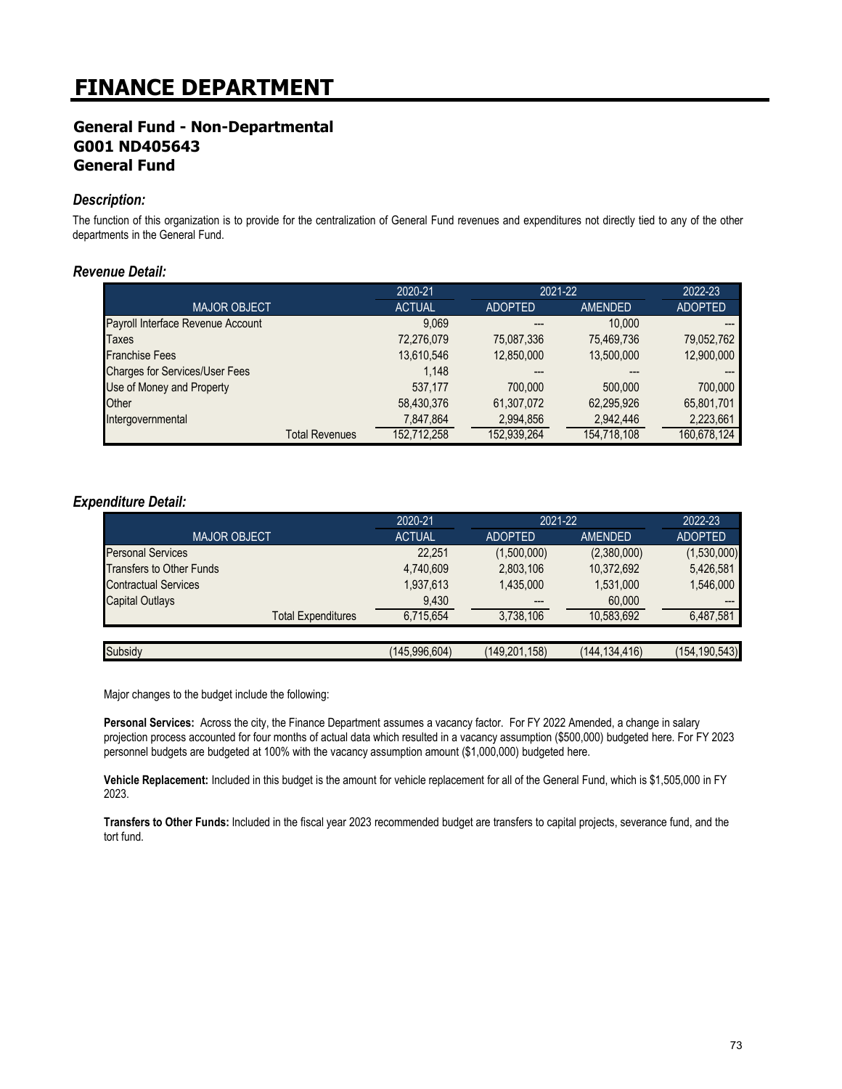## **General Fund - Non-Departmental G001 ND405643 General Fund**

### *Description:*

The function of this organization is to provide for the centralization of General Fund revenues and expenditures not directly tied to any of the other departments in the General Fund.

#### *Revenue Detail:*

|                                       | 2020-21       | 2021-22        |                | 2022-23        |
|---------------------------------------|---------------|----------------|----------------|----------------|
| <b>MAJOR OBJECT</b>                   | <b>ACTUAL</b> | <b>ADOPTED</b> | <b>AMENDED</b> | <b>ADOPTED</b> |
| Payroll Interface Revenue Account     | 9,069         |                | 10.000         |                |
| <b>Taxes</b>                          | 72,276,079    | 75,087,336     | 75,469,736     | 79,052,762     |
| <b>Franchise Fees</b>                 | 13,610,546    | 12,850,000     | 13,500,000     | 12,900,000     |
| <b>Charges for Services/User Fees</b> | 1.148         |                |                |                |
| Use of Money and Property             | 537.177       | 700.000        | 500,000        | 700.000        |
| Other                                 | 58,430,376    | 61,307,072     | 62,295,926     | 65,801,701     |
| Intergovernmental                     | 7,847,864     | 2,994,856      | 2,942,446      | 2,223,661      |
| <b>Total Revenues</b>                 | 152.712.258   | 152,939,264    | 154,718,108    | 160.678.124    |

#### *Expenditure Detail:*

|                                 | 2020-21       | 2021-22        |                 | 2022-23         |
|---------------------------------|---------------|----------------|-----------------|-----------------|
| <b>MAJOR OBJECT</b>             | <b>ACTUAL</b> | <b>ADOPTED</b> | <b>AMENDED</b>  | <b>ADOPTED</b>  |
| <b>Personal Services</b>        | 22.251        | (1,500,000)    | (2,380,000)     | (1,530,000)     |
| <b>Transfers to Other Funds</b> | 4,740,609     | 2,803,106      | 10,372,692      | 5,426,581       |
| <b>Contractual Services</b>     | 1,937,613     | 1,435,000      | 1,531,000       | 1,546,000       |
| <b>Capital Outlays</b>          | 9,430         | ---            | 60,000          | $---$           |
| <b>Total Expenditures</b>       | 6,715,654     | 3,738,106      | 10,583,692      | 6,487,581       |
|                                 |               |                |                 |                 |
| Subsidy                         | (145,996,604) | (149,201,158)  | (144, 134, 416) | (154, 190, 543) |

Major changes to the budget include the following:

**Personal Services:** Across the city, the Finance Department assumes a vacancy factor. For FY 2022 Amended, a change in salary projection process accounted for four months of actual data which resulted in a vacancy assumption (\$500,000) budgeted here. For FY 2023 personnel budgets are budgeted at 100% with the vacancy assumption amount (\$1,000,000) budgeted here.

**Vehicle Replacement:** Included in this budget is the amount for vehicle replacement for all of the General Fund, which is \$1,505,000 in FY 2023.

**Transfers to Other Funds:** Included in the fiscal year 2023 recommended budget are transfers to capital projects, severance fund, and the tort fund.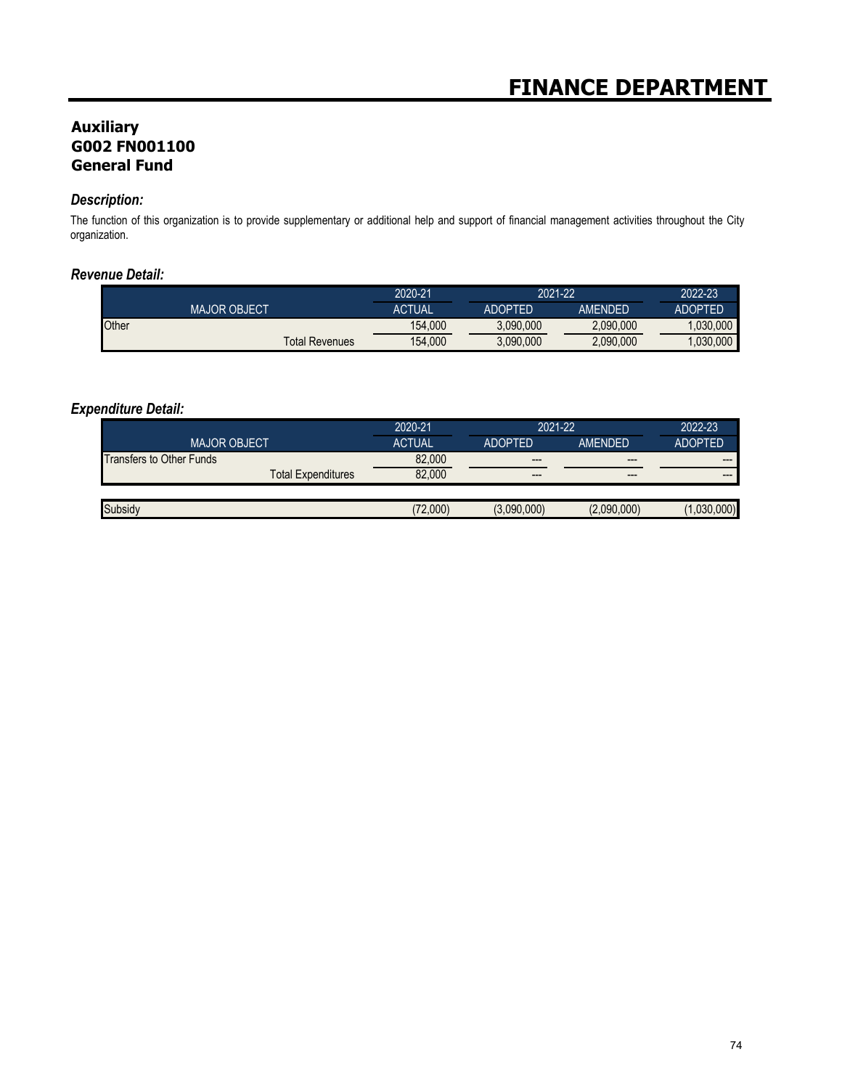# **Auxiliary G002 FN001100 General Fund**

### *Description:*

The function of this organization is to provide supplementary or additional help and support of financial management activities throughout the City organization.

## *Revenue Detail:*

|                       | 2020-21 | 2021-22        |                | 2022-23        |
|-----------------------|---------|----------------|----------------|----------------|
| <b>MAJOR OBJECT</b>   | ACTUAL  | <b>ADOPTED</b> | <b>AMFNDFD</b> | <b>ADOPTED</b> |
| Other                 | 154.000 | 3.090.000      | 2,090,000      | .030.000       |
| <b>Total Revenues</b> | 154.000 | 3.090.000      | 2.090.000      | .030.000       |

|                           | 2020-21       | 2021-22        |             | 2022-23        |
|---------------------------|---------------|----------------|-------------|----------------|
| <b>MAJOR OBJECT</b>       | <b>ACTUAL</b> | <b>ADOPTED</b> | AMENDED     | <b>ADOPTED</b> |
| Transfers to Other Funds  | 82.000        | $---$          | $---$       | $- - -$        |
| <b>Total Expenditures</b> | 82,000        | $-- -$         | $- - -$     | $- - -$        |
|                           |               |                |             |                |
|                           | 72,000        | (3.090.000)    | (2,090,000) |                |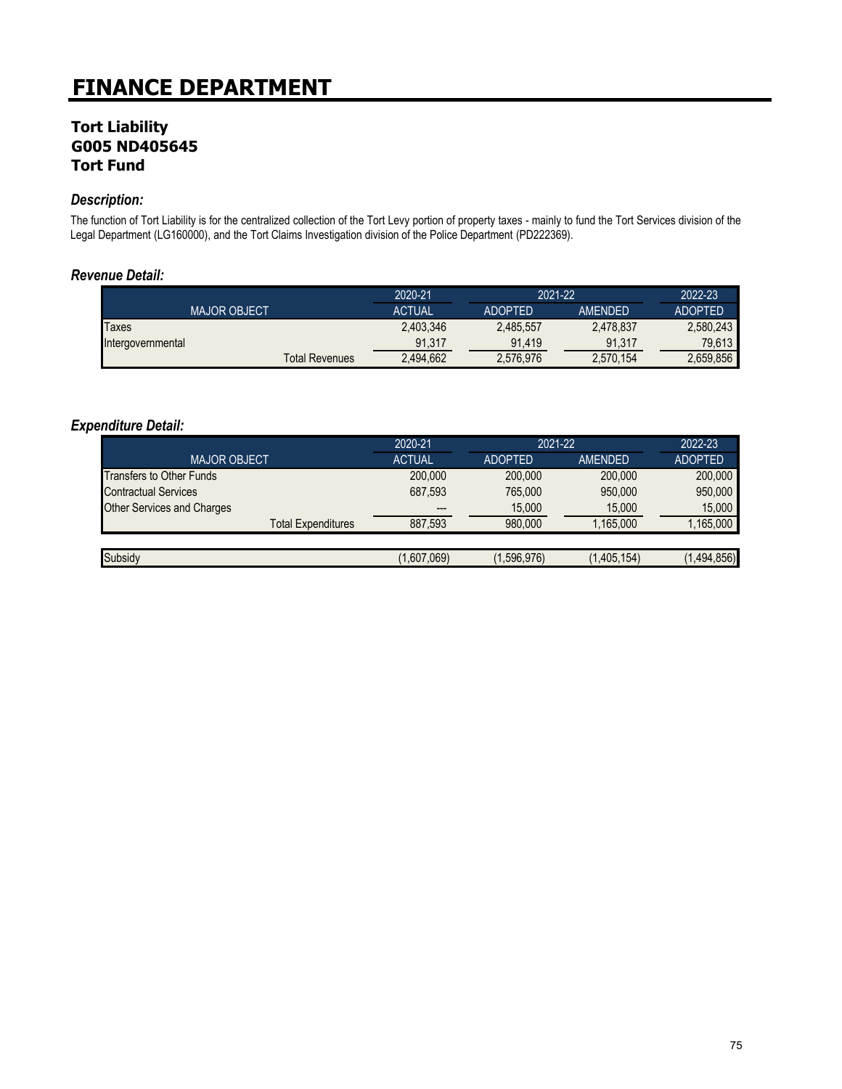## **Tort Liability G005 ND405645 Tort Fund**

### *Description:*

The function of Tort Liability is for the centralized collection of the Tort Levy portion of property taxes - mainly to fund the Tort Services division of the Legal Department (LG160000), and the Tort Claims Investigation division of the Police Department (PD222369).

## *Revenue Detail:*

|                   |                     |                       | 2020-21       | 2021-22        |                | 2022-23        |
|-------------------|---------------------|-----------------------|---------------|----------------|----------------|----------------|
|                   | <b>MAJOR OBJECT</b> |                       | <b>ACTUAL</b> | <b>ADOPTED</b> | <b>AMFNDFD</b> | <b>ADOPTED</b> |
| Taxes             |                     |                       | 2.403.346     | 2,485,557      | 2.478.837      | 2.580.243      |
| Intergovernmental |                     |                       | 91.317        | 91.419         | 91.317         | 79.613         |
|                   |                     | <b>Total Revenues</b> | 2.494.662     | 2,576,976      | 2,570,154      | 2,659,856      |

|                                   | 2020-21       | 2021-22        |                | 2022-23        |
|-----------------------------------|---------------|----------------|----------------|----------------|
| <b>MAJOR OBJECT</b>               | <b>ACTUAL</b> | <b>ADOPTED</b> | <b>AMENDED</b> | <b>ADOPTED</b> |
| <b>Transfers to Other Funds</b>   | 200,000       | 200,000        | 200,000        | 200,000        |
| <b>Contractual Services</b>       | 687,593       | 765,000        | 950,000        | 950,000        |
| <b>Other Services and Charges</b> | ---           | 15,000         | 15,000         | 15.000         |
| <b>Total Expenditures</b>         | 887,593       | 980.000        | 1,165,000      | ,165,000       |
|                                   |               |                |                |                |
| Subsidy                           | (1,607,069)   | (1,596,976)    | (1,405,154)    | (1,494,856)    |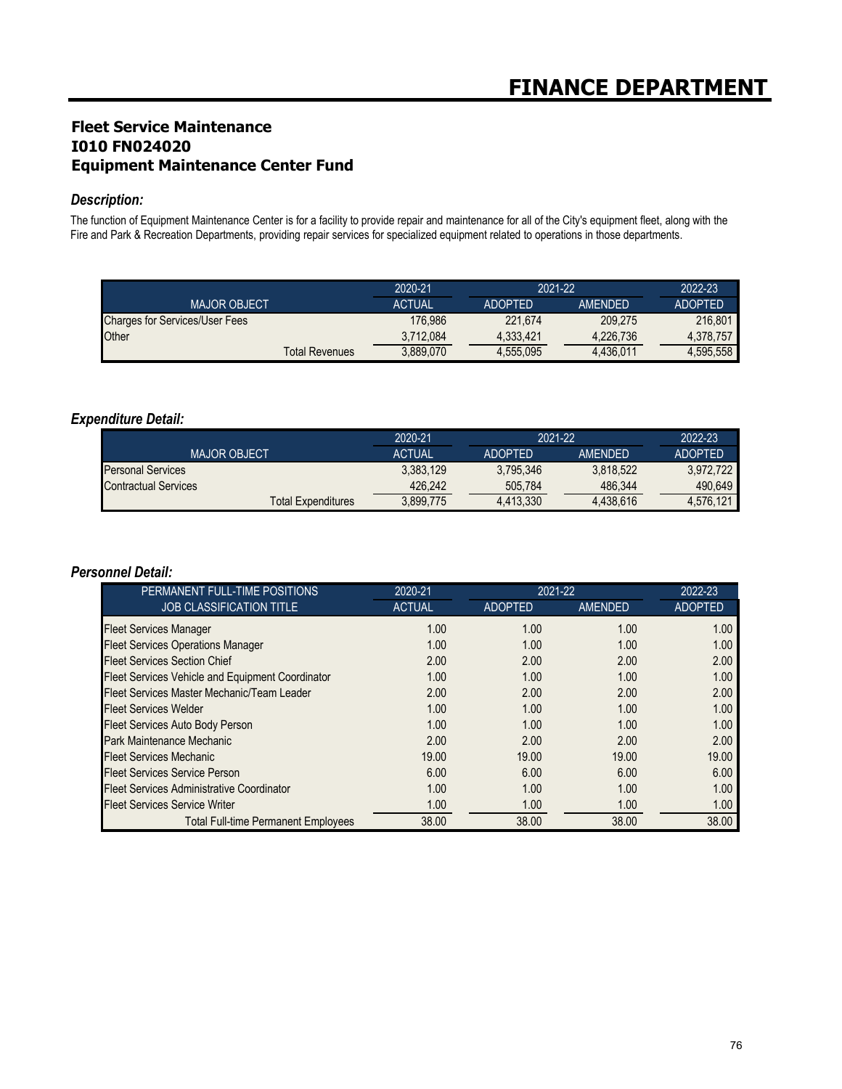# **Fleet Service Maintenance I010 FN024020 Equipment Maintenance Center Fund**

### *Description:*

The function of Equipment Maintenance Center is for a facility to provide repair and maintenance for all of the City's equipment fleet, along with the Fire and Park & Recreation Departments, providing repair services for specialized equipment related to operations in those departments.

|                                       | 2020-21       | 2021-22        |                | 2022-23        |
|---------------------------------------|---------------|----------------|----------------|----------------|
| <b>MAJOR OBJECT</b>                   | <b>ACTUAL</b> | <b>ADOPTED</b> | <b>AMENDED</b> | <b>ADOPTED</b> |
| <b>Charges for Services/User Fees</b> | 176.986       | 221.674        | 209.275        | 216.801        |
| Other                                 | 3.712.084     | 4.333.421      | 4.226.736      | 4.378.757      |
| <b>Total Revenues</b>                 | 3,889,070     | 4.555.095      | 4.436.011      | 4.595.558      |

### *Expenditure Detail:*

|                             | 2020-21       | 2021-22        |                | 2022-23        |
|-----------------------------|---------------|----------------|----------------|----------------|
| <b>MAJOR OBJECT</b>         | <b>ACTUAL</b> | <b>ADOPTED</b> | <b>AMENDED</b> | <b>ADOPTED</b> |
| <b>Personal Services</b>    | 3.383.129     | 3.795.346      | 3.818.522      | 3.972.722      |
| <b>Contractual Services</b> | 426,242       | 505.784        | 486.344        | 490.649        |
| <b>Total Expenditures</b>   | 3.899.775     | 4.413.330      | 4.438.616      | 4.576.121      |

### *Personnel Detail:*

| PERMANENT FULL-TIME POSITIONS                    | 2020-21       | 2021-22        |                | 2022-23        |
|--------------------------------------------------|---------------|----------------|----------------|----------------|
| <b>JOB CLASSIFICATION TITLE</b>                  | <b>ACTUAL</b> | <b>ADOPTED</b> | <b>AMENDED</b> | <b>ADOPTED</b> |
| <b>Fleet Services Manager</b>                    | 1.00          | 1.00           | 1.00           | 1.00           |
| <b>Fleet Services Operations Manager</b>         | 1.00          | 1.00           | 1.00           | 1.00           |
| <b>Fleet Services Section Chief</b>              | 2.00          | 2.00           | 2.00           | 2.00           |
| Fleet Services Vehicle and Equipment Coordinator | 1.00          | 1.00           | 1.00           | 1.00           |
| Fleet Services Master Mechanic/Team Leader       | 2.00          | 2.00           | 2.00           | 2.00           |
| <b>Fleet Services Welder</b>                     | 1.00          | 1.00           | 1.00           | 1.00           |
| Fleet Services Auto Body Person                  | 1.00          | 1.00           | 1.00           | 1.00           |
| <b>Park Maintenance Mechanic</b>                 | 2.00          | 2.00           | 2.00           | 2.00           |
| <b>Fleet Services Mechanic</b>                   | 19.00         | 19.00          | 19.00          | 19.00          |
| <b>Fleet Services Service Person</b>             | 6.00          | 6.00           | 6.00           | 6.00           |
| <b>Fleet Services Administrative Coordinator</b> | 1.00          | 1.00           | 1.00           | 1.00           |
| <b>Fleet Services Service Writer</b>             | 1.00          | 1.00           | 1.00           | 1.00           |
| <b>Total Full-time Permanent Employees</b>       | 38.00         | 38.00          | 38.00          | 38.00          |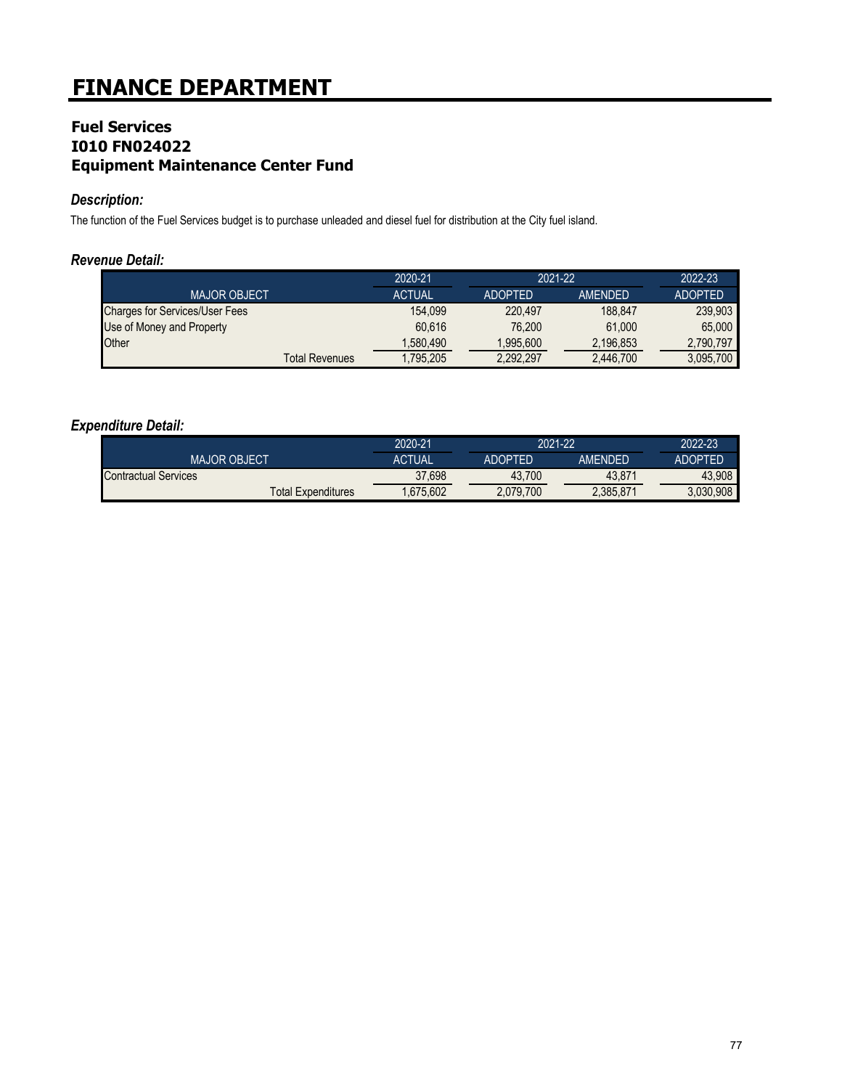## **Fuel Services I010 FN024022 Equipment Maintenance Center Fund**

### *Description:*

The function of the Fuel Services budget is to purchase unleaded and diesel fuel for distribution at the City fuel island.

## *Revenue Detail:*

|                                       | 2020-21       | 2021-22        |                | 2022-23        |
|---------------------------------------|---------------|----------------|----------------|----------------|
| <b>MAJOR OBJECT</b>                   | <b>ACTUAL</b> | <b>ADOPTED</b> | <b>AMENDED</b> | <b>ADOPTED</b> |
| <b>Charges for Services/User Fees</b> | 154.099       | 220.497        | 188.847        | 239.903        |
| Use of Money and Property             | 60.616        | 76.200         | 61.000         | 65,000         |
| Other                                 | 1.580.490     | 1.995.600      | 2.196.853      | 2.790.797      |
| <b>Total Revenues</b>                 | 1.795.205     | 2,292,297      | 2,446,700      | 3,095,700      |

|                             | 2020-21       | 2021-22        |           | 2022-23   |
|-----------------------------|---------------|----------------|-----------|-----------|
| <b>MAJOR OBJECT</b>         | <b>ACTUAL</b> | <b>ADOPTED</b> | AMFNDFD   | ADOPTFD   |
| <b>Contractual Services</b> | 37,698        | 43.700         | 43.871    | 43.908    |
| <b>Total Expenditures</b>   | .675.602      | 2,079,700      | 2.385.871 | 3.030.908 |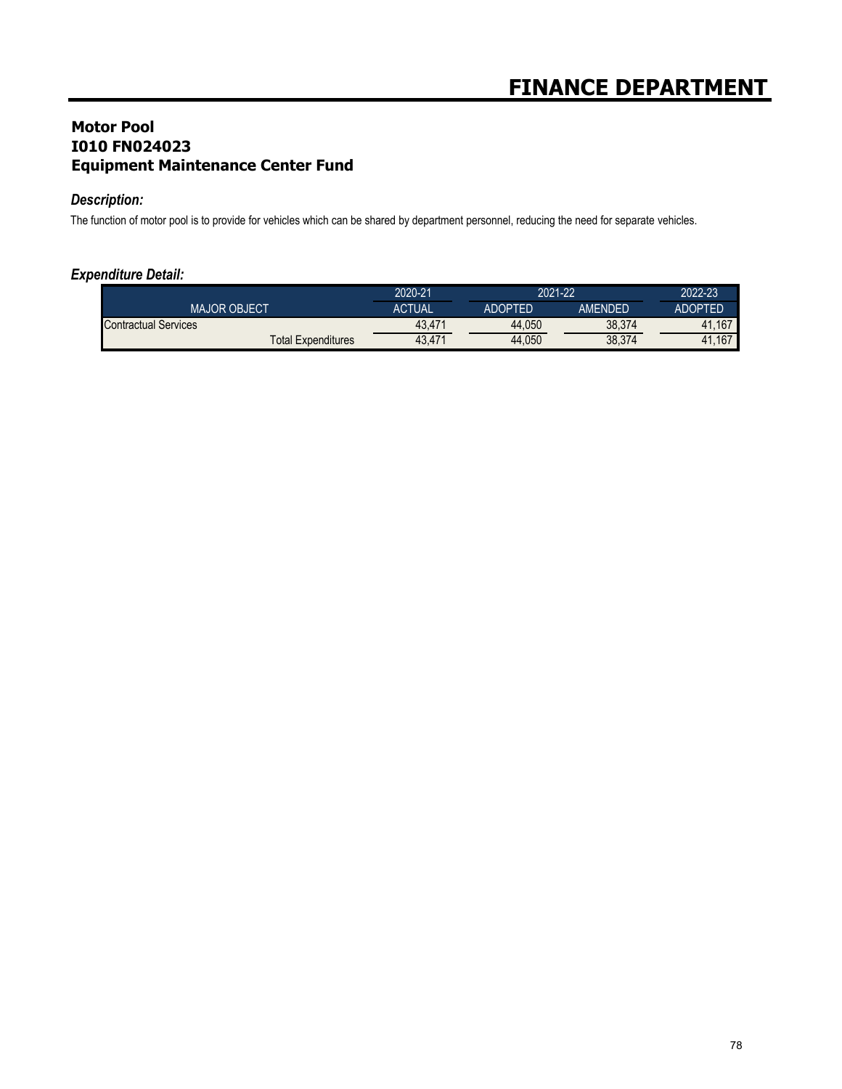# **Motor Pool I010 FN024023 Equipment Maintenance Center Fund**

## *Description:*

The function of motor pool is to provide for vehicles which can be shared by department personnel, reducing the need for separate vehicles.

|                             | 2020-21 | 2021-22        |         | 2022-23 |
|-----------------------------|---------|----------------|---------|---------|
| <b>MAJOR OBJECT</b>         | ACTUAL  | <b>ADOPTED</b> | AMENDED | ADOPTED |
| <b>Contractual Services</b> | 43.471  | 44.050         | 38,374  | 41.167  |
| <b>Total Expenditures</b>   | 43.471  | 44.050         | 38,374  | 41.167  |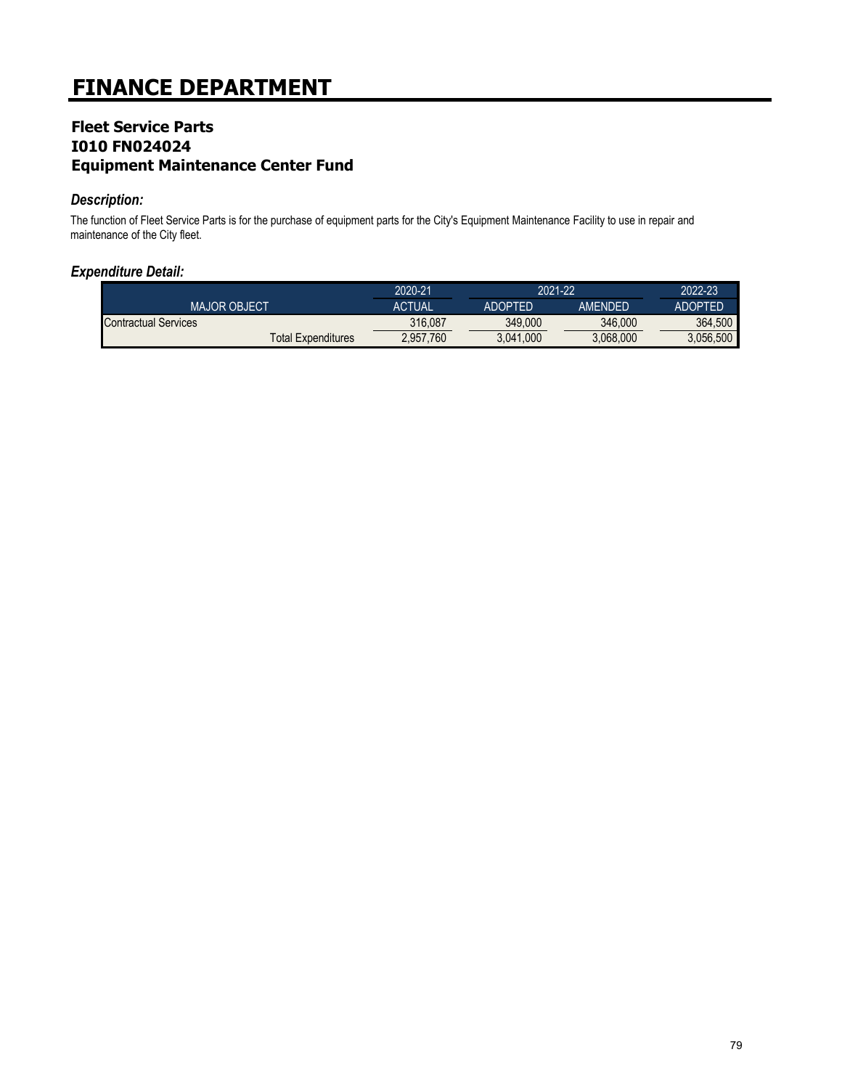## **Fleet Service Parts I010 FN024024 Equipment Maintenance Center Fund**

### *Description:*

The function of Fleet Service Parts is for the purchase of equipment parts for the City's Equipment Maintenance Facility to use in repair and maintenance of the City fleet.

|                           | 2020-21   | 2021-22        |           | 2022-23        |
|---------------------------|-----------|----------------|-----------|----------------|
| <b>MAJOR OBJECT</b>       | ACTUAL    | <b>ADOPTED</b> | AMFNDFD   | <b>ADOPTED</b> |
| Contractual Services      | 316.087   | 349.000        | 346,000   | 364.500        |
| <b>Total Expenditures</b> | 2,957,760 | 3.041.000      | 3.068.000 | 3.056.500      |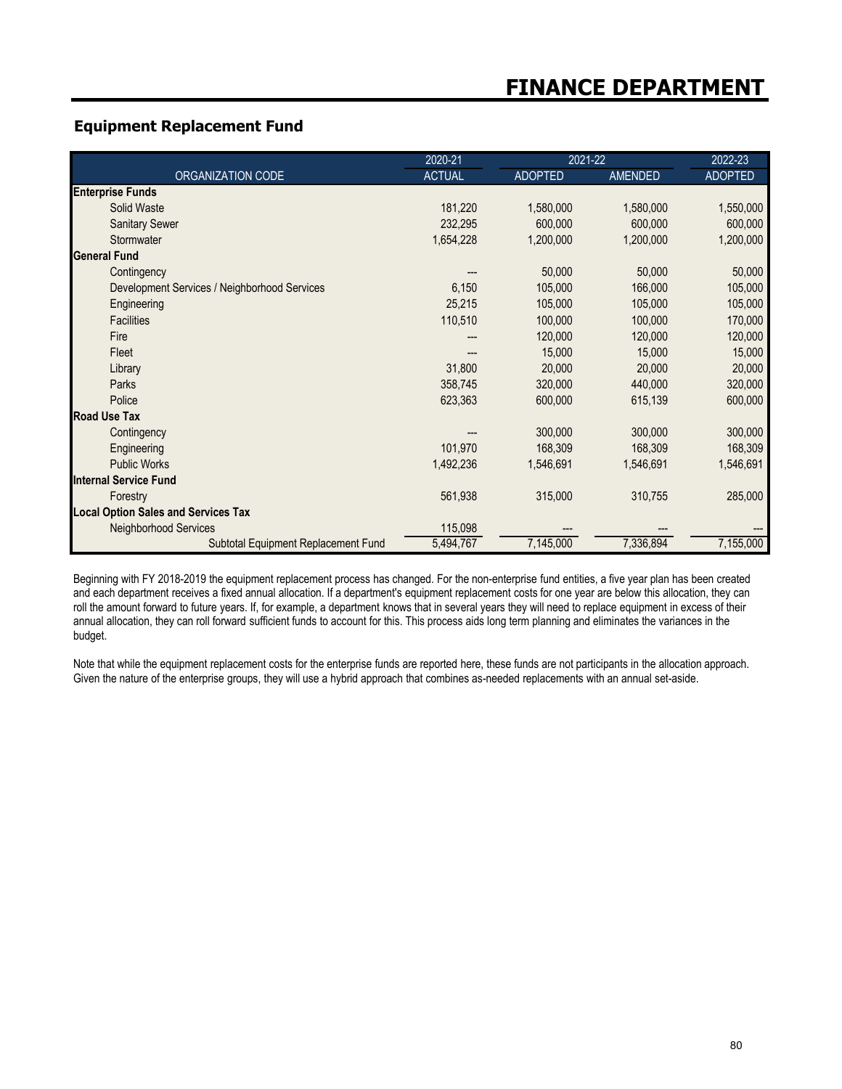## **Equipment Replacement Fund**

|                                              | 2020-21       | 2021-22   |                | 2022-23        |
|----------------------------------------------|---------------|-----------|----------------|----------------|
| ORGANIZATION CODE                            | <b>ACTUAL</b> | ADOPTED   | <b>AMENDED</b> | <b>ADOPTED</b> |
| <b>Enterprise Funds</b>                      |               |           |                |                |
| Solid Waste                                  | 181,220       | 1,580,000 | 1,580,000      | 1,550,000      |
| <b>Sanitary Sewer</b>                        | 232,295       | 600,000   | 600,000        | 600,000        |
| Stormwater                                   | 1,654,228     | 1,200,000 | 1,200,000      | 1,200,000      |
| <b>General Fund</b>                          |               |           |                |                |
| Contingency                                  |               | 50,000    | 50,000         | 50,000         |
| Development Services / Neighborhood Services | 6,150         | 105,000   | 166,000        | 105,000        |
| Engineering                                  | 25,215        | 105,000   | 105,000        | 105,000        |
| <b>Facilities</b>                            | 110,510       | 100,000   | 100,000        | 170,000        |
| Fire                                         |               | 120,000   | 120,000        | 120,000        |
| Fleet                                        |               | 15,000    | 15,000         | 15,000         |
| Library                                      | 31,800        | 20,000    | 20,000         | 20,000         |
| Parks                                        | 358,745       | 320,000   | 440,000        | 320,000        |
| Police                                       | 623,363       | 600,000   | 615,139        | 600,000        |
| <b>Road Use Tax</b>                          |               |           |                |                |
| Contingency                                  |               | 300,000   | 300,000        | 300,000        |
| Engineering                                  | 101,970       | 168,309   | 168,309        | 168,309        |
| <b>Public Works</b>                          | 1,492,236     | 1,546,691 | 1,546,691      | 1,546,691      |
| <b>Internal Service Fund</b>                 |               |           |                |                |
| Forestry                                     | 561,938       | 315,000   | 310,755        | 285,000        |
| <b>Local Option Sales and Services Tax</b>   |               |           |                |                |
| <b>Neighborhood Services</b>                 | 115,098       |           |                |                |
| Subtotal Equipment Replacement Fund          | 5,494,767     | 7,145,000 | 7,336,894      | 7,155,000      |

Beginning with FY 2018-2019 the equipment replacement process has changed. For the non-enterprise fund entities, a five year plan has been created and each department receives a fixed annual allocation. If a department's equipment replacement costs for one year are below this allocation, they can roll the amount forward to future years. If, for example, a department knows that in several years they will need to replace equipment in excess of their annual allocation, they can roll forward sufficient funds to account for this. This process aids long term planning and eliminates the variances in the budget.

Note that while the equipment replacement costs for the enterprise funds are reported here, these funds are not participants in the allocation approach. Given the nature of the enterprise groups, they will use a hybrid approach that combines as-needed replacements with an annual set-aside.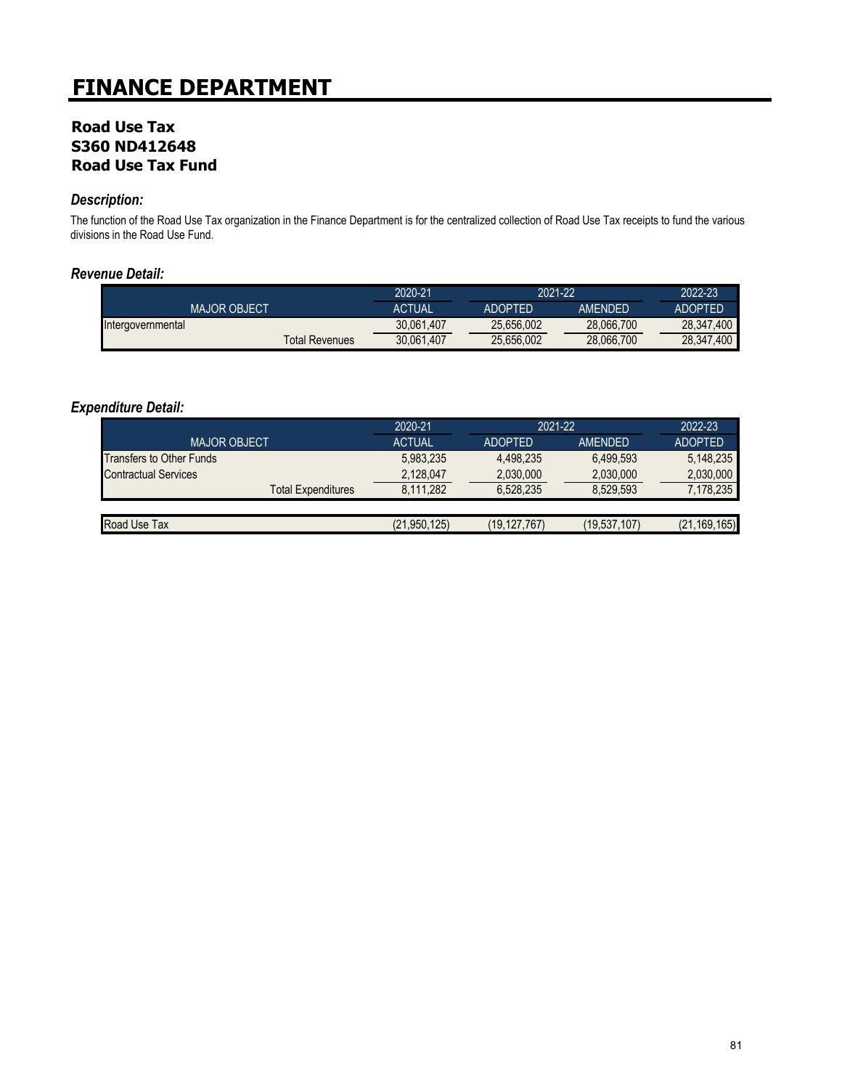## **Road Use Tax S360 ND412648 Road Use Tax Fund**

### *Description:*

The function of the Road Use Tax organization in the Finance Department is for the centralized collection of Road Use Tax receipts to fund the various divisions in the Road Use Fund.

#### *Revenue Detail:*

|                     | 2020-21                      | 2021-22        |                | 2022-23        |
|---------------------|------------------------------|----------------|----------------|----------------|
| <b>MAJOR OBJECT</b> | ACTUAL                       | <b>ADOPTED</b> | <b>AMFNDFD</b> | <b>ADOPTED</b> |
| Intergovernmental   | 30.061.407                   | 25.656.002     | 28.066.700     | 28.347.400     |
|                     | 30.061.407<br>Total Revenues | 25.656.002     | 28,066,700     | 28.347.400     |

|                                 | 2020-21        | 2021-22        |                | 2022-23        |
|---------------------------------|----------------|----------------|----------------|----------------|
| <b>MAJOR OBJECT</b>             | <b>ACTUAL</b>  | <b>ADOPTED</b> | <b>AMENDED</b> | <b>ADOPTED</b> |
| <b>Transfers to Other Funds</b> | 5,983,235      | 4,498,235      | 6,499,593      | 5,148,235      |
| <b>Contractual Services</b>     | 2.128.047      | 2,030,000      | 2.030.000      | 2,030,000      |
| <b>Total Expenditures</b>       | 8.111.282      | 6.528.235      | 8.529.593      | 7,178,235      |
|                                 |                |                |                |                |
| Road Use Tax                    | (21, 950, 125) | (19, 127, 767) | (19, 537, 107) | (21, 169, 165) |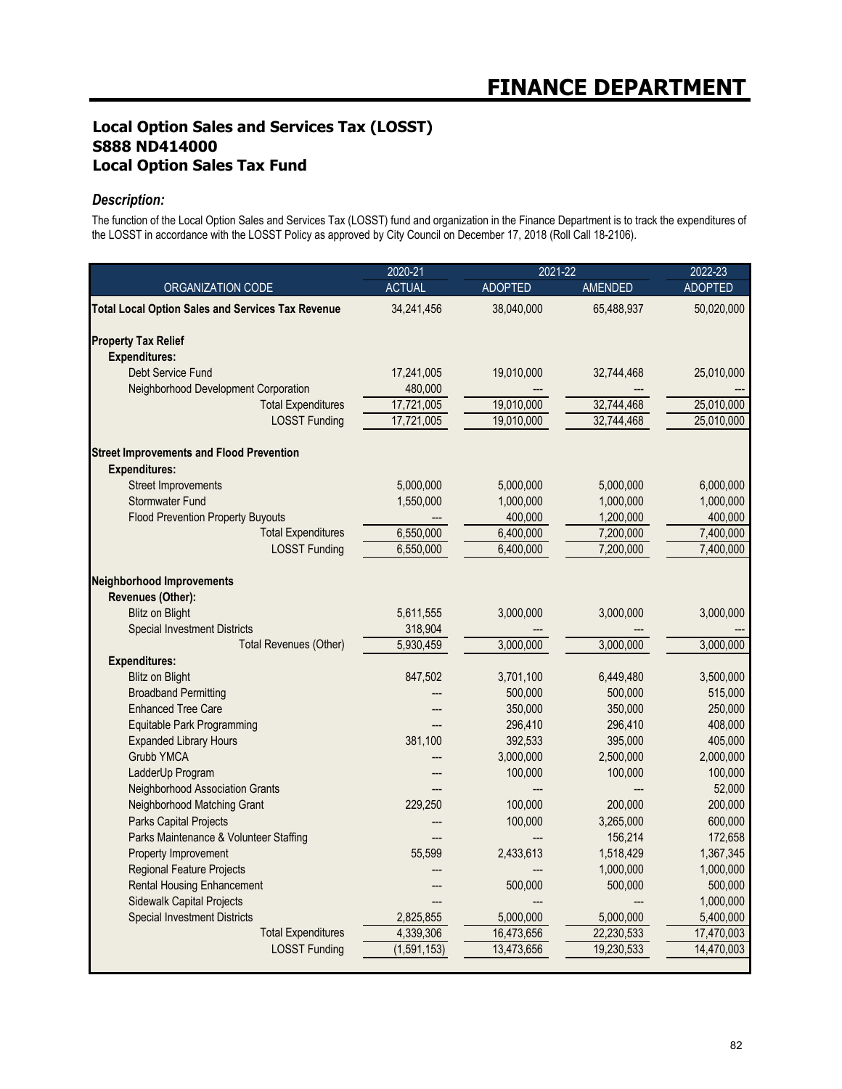## **Local Option Sales and Services Tax (LOSST) S888 ND414000 Local Option Sales Tax Fund**

### *Description:*

The function of the Local Option Sales and Services Tax (LOSST) fund and organization in the Finance Department is to track the expenditures of the LOSST in accordance with the LOSST Policy as approved by City Council on December 17, 2018 (Roll Call 18-2106).

|                                                          | 2020-21       | 2021-22        |                | 2022-23        |
|----------------------------------------------------------|---------------|----------------|----------------|----------------|
| ORGANIZATION CODE                                        | <b>ACTUAL</b> | <b>ADOPTED</b> | <b>AMENDED</b> | <b>ADOPTED</b> |
| <b>Total Local Option Sales and Services Tax Revenue</b> | 34,241,456    | 38,040,000     | 65,488,937     | 50,020,000     |
| <b>Property Tax Relief</b>                               |               |                |                |                |
| <b>Expenditures:</b>                                     |               |                |                |                |
| Debt Service Fund                                        | 17,241,005    | 19,010,000     | 32,744,468     | 25,010,000     |
| Neighborhood Development Corporation                     | 480,000       |                |                |                |
| <b>Total Expenditures</b>                                | 17,721,005    | 19,010,000     | 32,744,468     | 25,010,000     |
| <b>LOSST Funding</b>                                     | 17,721,005    | 19,010,000     | 32,744,468     | 25,010,000     |
| <b>Street Improvements and Flood Prevention</b>          |               |                |                |                |
| <b>Expenditures:</b>                                     |               |                |                |                |
| <b>Street Improvements</b>                               | 5,000,000     | 5,000,000      | 5,000,000      | 6,000,000      |
| <b>Stormwater Fund</b>                                   | 1,550,000     | 1,000,000      | 1,000,000      | 1,000,000      |
| <b>Flood Prevention Property Buyouts</b>                 |               | 400,000        | 1,200,000      | 400,000        |
| <b>Total Expenditures</b>                                | 6,550,000     | 6,400,000      | 7,200,000      | 7,400,000      |
| <b>LOSST Funding</b>                                     | 6,550,000     | 6,400,000      | 7,200,000      | 7,400,000      |
| <b>Neighborhood Improvements</b>                         |               |                |                |                |
| Revenues (Other):                                        |               |                |                |                |
| <b>Blitz on Blight</b>                                   | 5,611,555     | 3,000,000      | 3,000,000      | 3,000,000      |
| <b>Special Investment Districts</b>                      | 318,904       |                |                |                |
| <b>Total Revenues (Other)</b>                            | 5.930.459     | 3.000.000      | 3,000,000      | 3,000,000      |
| <b>Expenditures:</b>                                     |               |                |                |                |
| <b>Blitz on Blight</b>                                   | 847,502       | 3,701,100      | 6,449,480      | 3,500,000      |
| <b>Broadband Permitting</b>                              |               | 500,000        | 500,000        | 515,000        |
| <b>Enhanced Tree Care</b>                                |               | 350,000        | 350,000        | 250,000        |
| Equitable Park Programming                               |               | 296,410        | 296,410        | 408,000        |
| <b>Expanded Library Hours</b>                            | 381.100       | 392,533        | 395,000        | 405,000        |
| Grubb YMCA                                               |               | 3,000,000      | 2,500,000      | 2,000,000      |
| LadderUp Program                                         |               | 100.000        | 100,000        | 100,000        |
| Neighborhood Association Grants                          |               |                |                | 52,000         |
| Neighborhood Matching Grant                              | 229.250       | 100.000        | 200.000        | 200,000        |
| Parks Capital Projects                                   |               | 100,000        | 3,265,000      | 600,000        |
| Parks Maintenance & Volunteer Staffing                   |               |                | 156,214        | 172,658        |
| Property Improvement                                     | 55,599        | 2,433,613      | 1,518,429      | 1,367,345      |
| Regional Feature Projects                                | ---           |                | 1,000,000      | 1,000,000      |
| <b>Rental Housing Enhancement</b>                        |               | 500,000        | 500,000        | 500,000        |
| Sidewalk Capital Projects                                |               |                |                | 1,000,000      |
| <b>Special Investment Districts</b>                      | 2,825,855     | 5,000,000      | 5,000,000      | 5,400,000      |
| <b>Total Expenditures</b>                                | 4,339,306     | 16,473,656     | 22,230,533     | 17,470,003     |
| <b>LOSST Funding</b>                                     | (1,591,153)   | 13,473,656     | 19,230,533     | 14,470,003     |
|                                                          |               |                |                |                |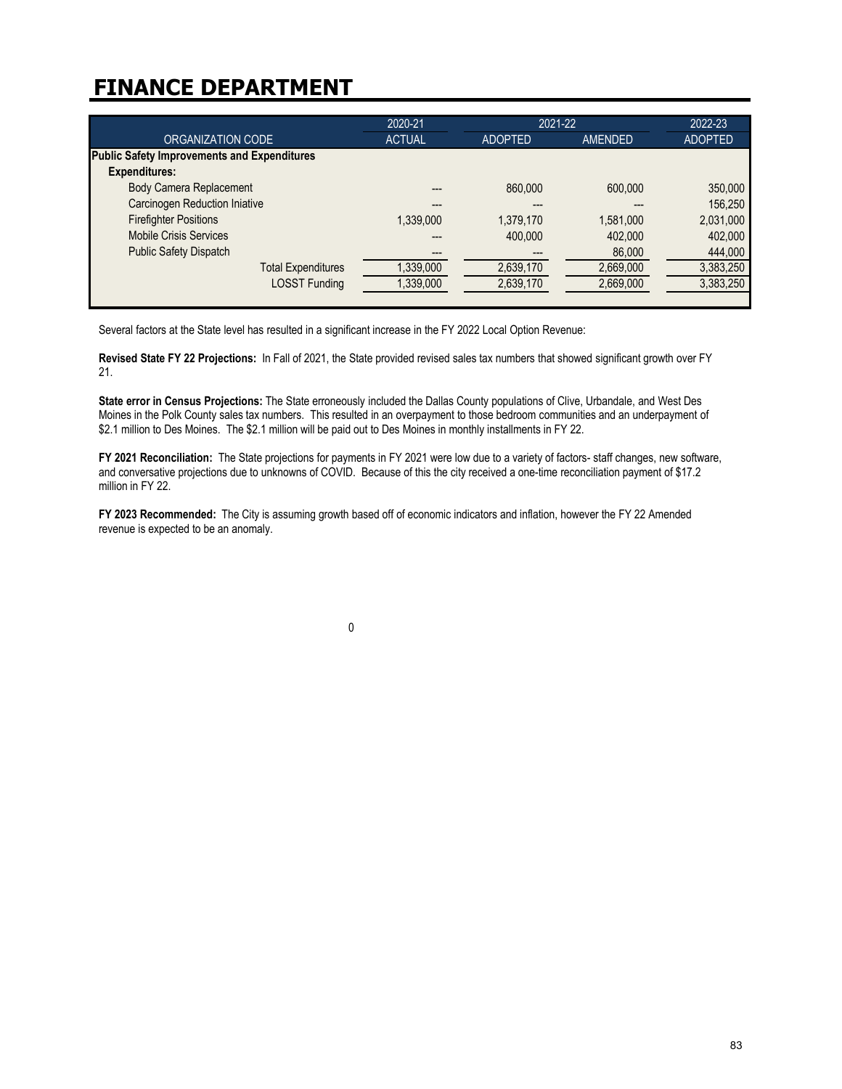|                                                    | 2020-21       | 2021-22        |           | 2022-23        |
|----------------------------------------------------|---------------|----------------|-----------|----------------|
| ORGANIZATION CODE                                  | <b>ACTUAL</b> | <b>ADOPTED</b> | AMENDED   | <b>ADOPTED</b> |
| <b>Public Safety Improvements and Expenditures</b> |               |                |           |                |
| <b>Expenditures:</b>                               |               |                |           |                |
| <b>Body Camera Replacement</b>                     |               | 860,000        | 600,000   | 350,000        |
| <b>Carcinogen Reduction Iniative</b>               |               |                |           | 156,250        |
| <b>Firefighter Positions</b>                       | 1,339,000     | 1,379,170      | 1,581,000 | 2,031,000      |
| <b>Mobile Crisis Services</b>                      |               | 400,000        | 402,000   | 402,000        |
| <b>Public Safety Dispatch</b>                      |               |                | 86,000    | 444,000        |
| <b>Total Expenditures</b>                          | 1,339,000     | 2,639,170      | 2,669,000 | 3,383,250      |
| <b>LOSST Funding</b>                               | 1,339,000     | 2,639,170      | 2,669,000 | 3,383,250      |
|                                                    |               |                |           |                |

Several factors at the State level has resulted in a significant increase in the FY 2022 Local Option Revenue:

**Revised State FY 22 Projections:** In Fall of 2021, the State provided revised sales tax numbers that showed significant growth over FY 21.

**State error in Census Projections:** The State erroneously included the Dallas County populations of Clive, Urbandale, and West Des Moines in the Polk County sales tax numbers. This resulted in an overpayment to those bedroom communities and an underpayment of \$2.1 million to Des Moines. The \$2.1 million will be paid out to Des Moines in monthly installments in FY 22.

**FY 2021 Reconciliation:** The State projections for payments in FY 2021 were low due to a variety of factors- staff changes, new software, and conversative projections due to unknowns of COVID. Because of this the city received a one-time reconciliation payment of \$17.2 million in FY 22.

**FY 2023 Recommended:** The City is assuming growth based off of economic indicators and inflation, however the FY 22 Amended revenue is expected to be an anomaly.

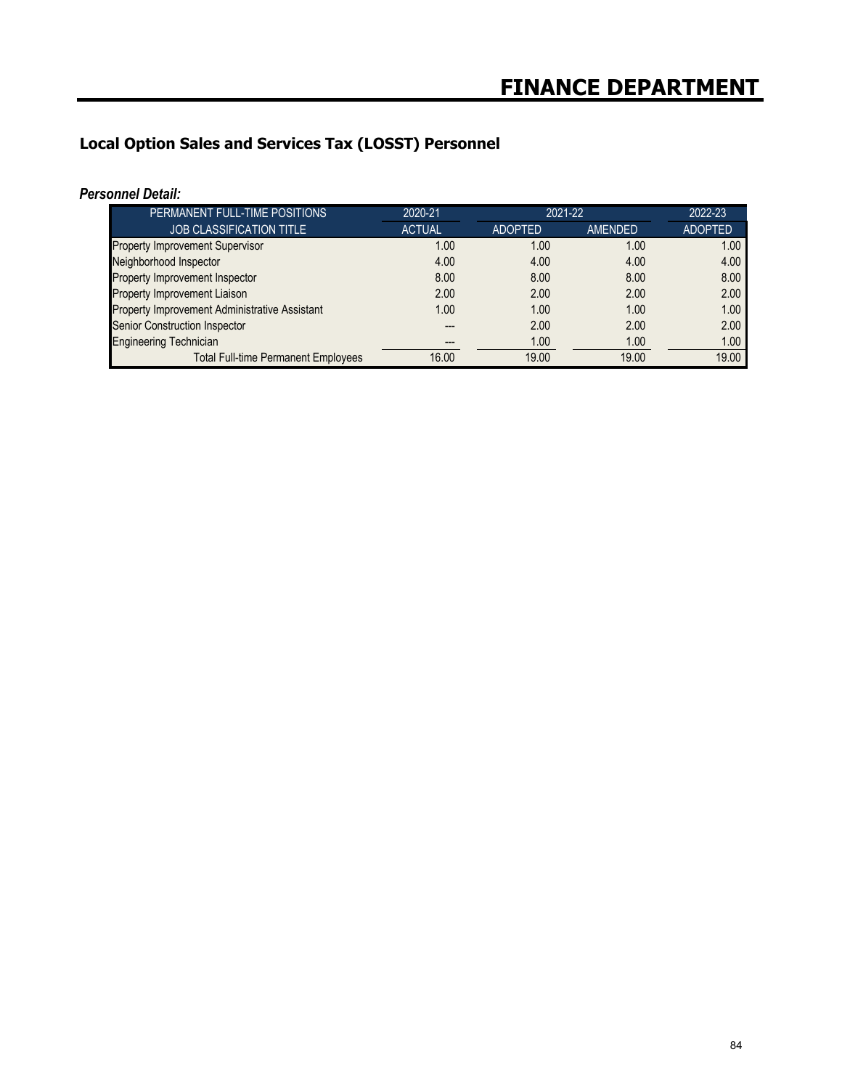# **Local Option Sales and Services Tax (LOSST) Personnel**

|--|

| PERMANENT FULL-TIME POSITIONS                 | 2020-21       | 2021-22        | 2022-23 |                |
|-----------------------------------------------|---------------|----------------|---------|----------------|
| <b>JOB CLASSIFICATION TITLE</b>               | <b>ACTUAL</b> | <b>ADOPTED</b> | AMENDED | <b>ADOPTED</b> |
| <b>Property Improvement Supervisor</b>        | 1.00          | 1.00           | 1.00    | 1.00           |
| Neighborhood Inspector                        | 4.00          | 4.00           | 4.00    | 4.00           |
| Property Improvement Inspector                | 8.00          | 8.00           | 8.00    | 8.00           |
| Property Improvement Liaison                  | 2.00          | 2.00           | 2.00    | 2.00           |
| Property Improvement Administrative Assistant | 1.00          | 1.00           | 1.00    | 1.00           |
| Senior Construction Inspector                 |               | 2.00           | 2.00    | 2.00           |
| <b>Engineering Technician</b>                 |               | 1.00           | 1.00    | 1.00           |
| <b>Total Full-time Permanent Employees</b>    | 16.00         | 19.00          | 19.00   | 19.00          |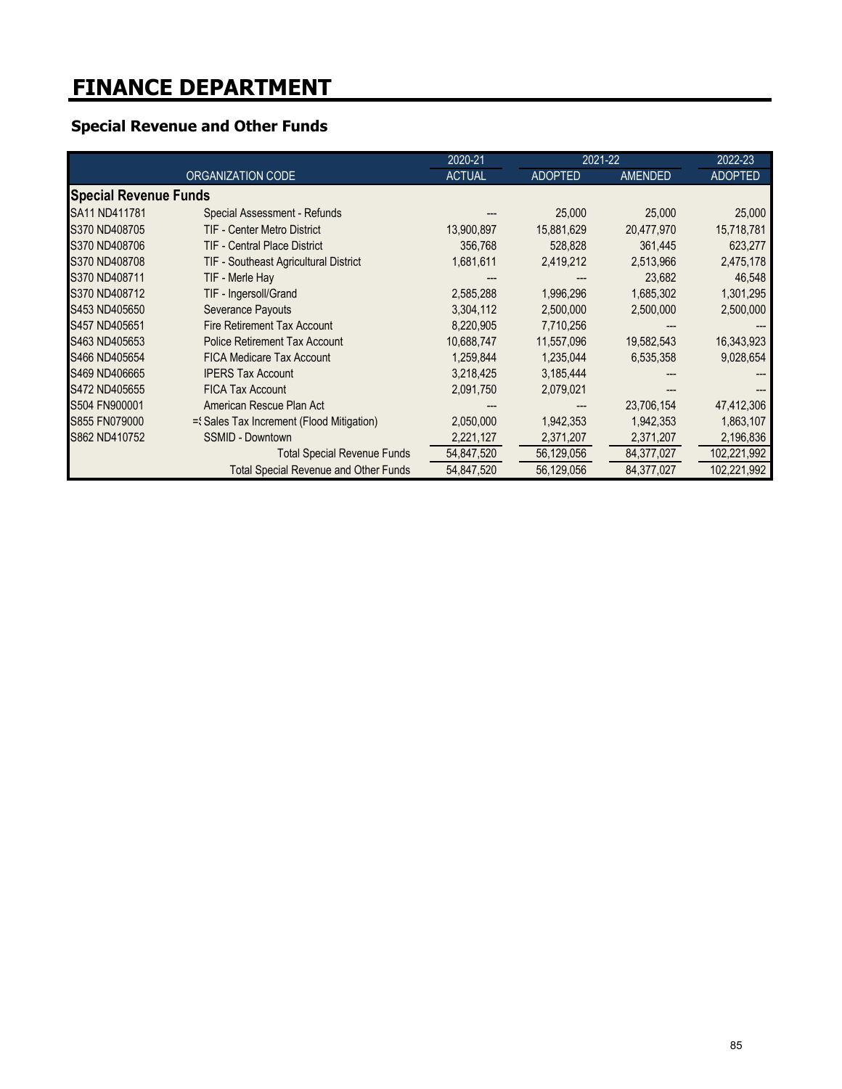# **Special Revenue and Other Funds**

|                              |                                              | 2020-21       | 2021-22        |                | 2022-23        |
|------------------------------|----------------------------------------------|---------------|----------------|----------------|----------------|
|                              | ORGANIZATION CODE                            | <b>ACTUAL</b> | <b>ADOPTED</b> | <b>AMENDED</b> | <b>ADOPTED</b> |
| <b>Special Revenue Funds</b> |                                              |               |                |                |                |
| SA11 ND411781                | Special Assessment - Refunds                 |               | 25,000         | 25,000         | 25,000         |
| S370 ND408705                | TIF - Center Metro District                  | 13,900,897    | 15,881,629     | 20,477,970     | 15,718,781     |
| S370 ND408706                | <b>TIF - Central Place District</b>          | 356,768       | 528,828        | 361,445        | 623,277        |
| S370 ND408708                | <b>TIF - Southeast Agricultural District</b> | 1,681,611     | 2,419,212      | 2,513,966      | 2,475,178      |
| S370 ND408711                | TIF - Merle Hay                              |               |                | 23,682         | 46,548         |
| S370 ND408712                | TIF - Ingersoll/Grand                        | 2,585,288     | 1,996,296      | 1,685,302      | 1,301,295      |
| S453 ND405650                | <b>Severance Payouts</b>                     | 3,304,112     | 2,500,000      | 2,500,000      | 2,500,000      |
| S457 ND405651                | Fire Retirement Tax Account                  | 8,220,905     | 7,710,256      |                |                |
| S463 ND405653                | <b>Police Retirement Tax Account</b>         | 10,688,747    | 11,557,096     | 19,582,543     | 16,343,923     |
| S466 ND405654                | FICA Medicare Tax Account                    | 1,259,844     | 1,235,044      | 6,535,358      | 9,028,654      |
| S469 ND406665                | <b>IPERS Tax Account</b>                     | 3,218,425     | 3,185,444      |                |                |
| S472 ND405655                | <b>FICA Tax Account</b>                      | 2,091,750     | 2,079,021      |                |                |
| S504 FN900001                | American Rescue Plan Act                     |               |                | 23,706,154     | 47,412,306     |
| S855 FN079000                | ={Sales Tax Increment (Flood Mitigation)     | 2,050,000     | 1,942,353      | 1,942,353      | 1,863,107      |
| S862 ND410752                | <b>SSMID - Downtown</b>                      | 2,221,127     | 2,371,207      | 2,371,207      | 2,196,836      |
|                              | <b>Total Special Revenue Funds</b>           | 54,847,520    | 56,129,056     | 84,377,027     | 102,221,992    |
|                              | <b>Total Special Revenue and Other Funds</b> | 54,847,520    | 56,129,056     | 84,377,027     | 102,221,992    |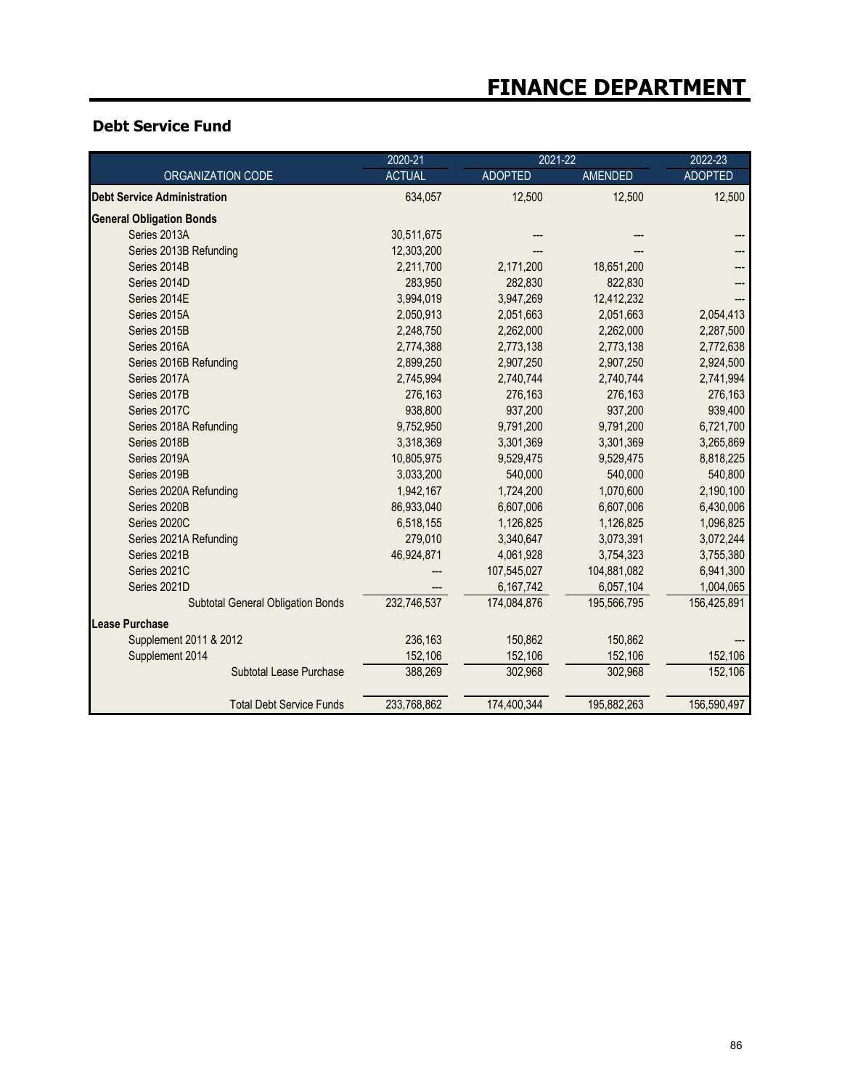## **Debt Service Fund**

|                                          | 2020-21       | 2021-22        |                | 2022-23        |
|------------------------------------------|---------------|----------------|----------------|----------------|
| ORGANIZATION CODE                        | <b>ACTUAL</b> | <b>ADOPTED</b> | <b>AMENDED</b> | <b>ADOPTED</b> |
| <b>Debt Service Administration</b>       | 634,057       | 12,500         | 12,500         | 12,500         |
| <b>General Obligation Bonds</b>          |               |                |                |                |
| Series 2013A                             | 30,511,675    |                |                |                |
| Series 2013B Refunding                   | 12,303,200    |                |                |                |
| Series 2014B                             | 2,211,700     | 2,171,200      | 18,651,200     |                |
| Series 2014D                             | 283,950       | 282,830        | 822,830        |                |
| Series 2014E                             | 3,994,019     | 3,947,269      | 12,412,232     |                |
| Series 2015A                             | 2,050,913     | 2,051,663      | 2,051,663      | 2,054,413      |
| Series 2015B                             | 2,248,750     | 2,262,000      | 2,262,000      | 2,287,500      |
| Series 2016A                             | 2,774,388     | 2,773,138      | 2,773,138      | 2,772,638      |
| Series 2016B Refunding                   | 2,899,250     | 2,907,250      | 2,907,250      | 2,924,500      |
| Series 2017A                             | 2,745,994     | 2,740,744      | 2,740,744      | 2,741,994      |
| Series 2017B                             | 276,163       | 276,163        | 276,163        | 276,163        |
| Series 2017C                             | 938,800       | 937,200        | 937,200        | 939,400        |
| Series 2018A Refunding                   | 9,752,950     | 9,791,200      | 9,791,200      | 6,721,700      |
| Series 2018B                             | 3,318,369     | 3,301,369      | 3,301,369      | 3,265,869      |
| Series 2019A                             | 10,805,975    | 9,529,475      | 9,529,475      | 8,818,225      |
| Series 2019B                             | 3,033,200     | 540,000        | 540,000        | 540,800        |
| Series 2020A Refunding                   | 1,942,167     | 1,724,200      | 1,070,600      | 2,190,100      |
| Series 2020B                             | 86,933,040    | 6,607,006      | 6,607,006      | 6,430,006      |
| Series 2020C                             | 6,518,155     | 1,126,825      | 1,126,825      | 1,096,825      |
| Series 2021A Refunding                   | 279,010       | 3,340,647      | 3,073,391      | 3,072,244      |
| Series 2021B                             | 46,924,871    | 4,061,928      | 3,754,323      | 3,755,380      |
| Series 2021C                             |               | 107,545,027    | 104,881,082    | 6,941,300      |
| Series 2021D                             |               | 6,167,742      | 6,057,104      | 1,004,065      |
| <b>Subtotal General Obligation Bonds</b> | 232,746,537   | 174,084,876    | 195,566,795    | 156,425,891    |
| <b>Lease Purchase</b>                    |               |                |                |                |
| Supplement 2011 & 2012                   | 236,163       | 150,862        | 150,862        |                |
| Supplement 2014                          | 152,106       | 152,106        | 152,106        | 152,106        |
| Subtotal Lease Purchase                  | 388,269       | 302,968        | 302,968        | 152,106        |
| <b>Total Debt Service Funds</b>          | 233,768,862   | 174,400,344    | 195,882,263    | 156,590,497    |